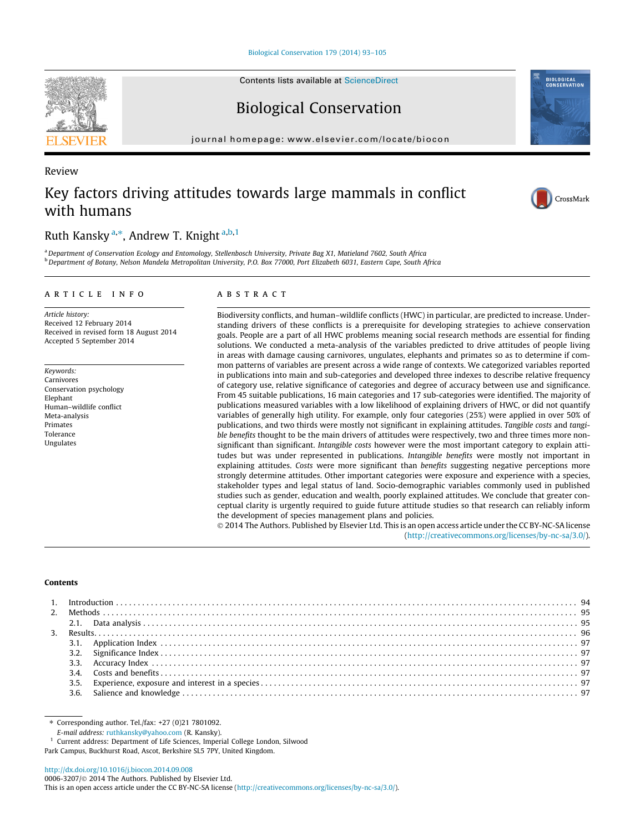[Biological Conservation 179 \(2014\) 93–105](http://dx.doi.org/10.1016/j.biocon.2014.09.008)

Contents lists available at [ScienceDirect](http://www.sciencedirect.com/science/journal/00063207)

Biological Conservation

journal homepage: [www.elsevier.com/locate/biocon](http://www.elsevier.com/locate/biocon)

# Key factors driving attitudes towards large mammals in conflict with humans

# Ruth Kansky<sup>a,\*</sup>, Andrew T. Knight<sup>a,b,1</sup>

a Department of Conservation Ecology and Entomology, Stellenbosch University, Private Bag X1, Matieland 7602, South Africa <sup>b</sup> Department of Botany, Nelson Mandela Metropolitan University, P.O. Box 77000, Port Elizabeth 6031, Eastern Cape, South Africa

# article info

Article history: Received 12 February 2014 Received in revised form 18 August 2014 Accepted 5 September 2014

Keywords: Carnivores Conservation psychology Elephant Human–wildlife conflict Meta-analysis Primates Tolerance Ungulates

# **ABSTRACT**

Biodiversity conflicts, and human–wildlife conflicts (HWC) in particular, are predicted to increase. Understanding drivers of these conflicts is a prerequisite for developing strategies to achieve conservation goals. People are a part of all HWC problems meaning social research methods are essential for finding solutions. We conducted a meta-analysis of the variables predicted to drive attitudes of people living in areas with damage causing carnivores, ungulates, elephants and primates so as to determine if common patterns of variables are present across a wide range of contexts. We categorized variables reported in publications into main and sub-categories and developed three indexes to describe relative frequency of category use, relative significance of categories and degree of accuracy between use and significance. From 45 suitable publications, 16 main categories and 17 sub-categories were identified. The majority of publications measured variables with a low likelihood of explaining drivers of HWC, or did not quantify variables of generally high utility. For example, only four categories (25%) were applied in over 50% of publications, and two thirds were mostly not significant in explaining attitudes. Tangible costs and tangible benefits thought to be the main drivers of attitudes were respectively, two and three times more nonsignificant than significant. Intangible costs however were the most important category to explain attitudes but was under represented in publications. Intangible benefits were mostly not important in explaining attitudes. Costs were more significant than benefits suggesting negative perceptions more strongly determine attitudes. Other important categories were exposure and experience with a species, stakeholder types and legal status of land. Socio-demographic variables commonly used in published studies such as gender, education and wealth, poorly explained attitudes. We conclude that greater conceptual clarity is urgently required to guide future attitude studies so that research can reliably inform the development of species management plans and policies.

© 2014 The Authors. Published by Elsevier Ltd. This is an open access article under the CC BY-NC-SA license [\(http://creativecommons.org/licenses/by-nc-sa/3.0/](http://creativecommons.org/licenses/by-nc-sa/3.0/)).

#### Contents

⇑ Corresponding author. Tel./fax: +27 (0)21 7801092.

E-mail address: [ruthkansky@yahoo.com](mailto:ruthkansky@yahoo.com) (R. Kansky).

<sup>1</sup> Current address: Department of Life Sciences, Imperial College London, Silwood

Park Campus, Buckhurst Road, Ascot, Berkshire SL5 7PY, United Kingdom.



Review



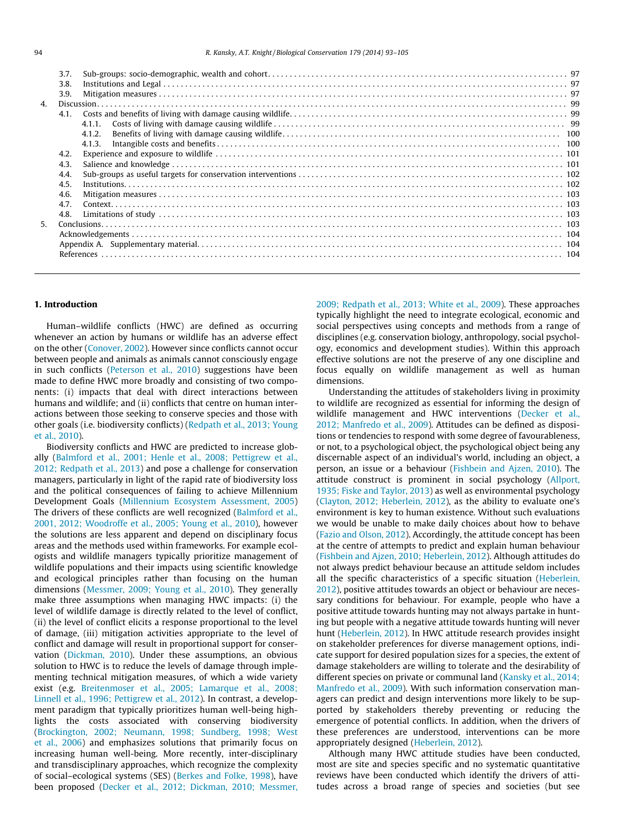|                | 3.7. |        |  |  |  |  |  |  |
|----------------|------|--------|--|--|--|--|--|--|
|                | 3.8. |        |  |  |  |  |  |  |
|                | 3.9. |        |  |  |  |  |  |  |
| $\mathbf{4}$   |      |        |  |  |  |  |  |  |
|                | 4.1. |        |  |  |  |  |  |  |
|                |      | 4.1.1  |  |  |  |  |  |  |
|                |      | 4.1.2. |  |  |  |  |  |  |
|                |      | 4.1.3. |  |  |  |  |  |  |
|                | 4.2. |        |  |  |  |  |  |  |
|                | 4.3. |        |  |  |  |  |  |  |
|                | 4.4. |        |  |  |  |  |  |  |
|                | 4.5. |        |  |  |  |  |  |  |
|                | 4.6. |        |  |  |  |  |  |  |
|                | 4.7. |        |  |  |  |  |  |  |
|                | 4.8. |        |  |  |  |  |  |  |
| 5 <sub>1</sub> |      |        |  |  |  |  |  |  |
|                |      |        |  |  |  |  |  |  |
|                |      |        |  |  |  |  |  |  |
|                |      |        |  |  |  |  |  |  |
|                |      |        |  |  |  |  |  |  |

#### 1. Introduction

Human–wildlife conflicts (HWC) are defined as occurring whenever an action by humans or wildlife has an adverse effect on the other ([Conover, 2002\)](#page-11-0). However since conflicts cannot occur between people and animals as animals cannot consciously engage in such conflicts [\(Peterson et al., 2010\)](#page-12-0) suggestions have been made to define HWC more broadly and consisting of two components: (i) impacts that deal with direct interactions between humans and wildlife; and (ii) conflicts that centre on human interactions between those seeking to conserve species and those with other goals (i.e. biodiversity conflicts) ([Redpath et al., 2013; Young](#page-12-0) [et al., 2010\)](#page-12-0).

Biodiversity conflicts and HWC are predicted to increase globally [\(Balmford et al., 2001; Henle et al., 2008; Pettigrew et al.,](#page-11-0) [2012; Redpath et al., 2013\)](#page-11-0) and pose a challenge for conservation managers, particularly in light of the rapid rate of biodiversity loss and the political consequences of failing to achieve Millennium Development Goals [\(Millennium Ecosystem Assessment, 2005\)](#page-11-0) The drivers of these conflicts are well recognized ([Balmford et al.,](#page-11-0) [2001, 2012; Woodroffe et al., 2005; Young et al., 2010](#page-11-0)), however the solutions are less apparent and depend on disciplinary focus areas and the methods used within frameworks. For example ecologists and wildlife managers typically prioritize management of wildlife populations and their impacts using scientific knowledge and ecological principles rather than focusing on the human dimensions ([Messmer, 2009; Young et al., 2010\)](#page-11-0). They generally make three assumptions when managing HWC impacts: (i) the level of wildlife damage is directly related to the level of conflict, (ii) the level of conflict elicits a response proportional to the level of damage, (iii) mitigation activities appropriate to the level of conflict and damage will result in proportional support for conservation [\(Dickman, 2010](#page-11-0)). Under these assumptions, an obvious solution to HWC is to reduce the levels of damage through implementing technical mitigation measures, of which a wide variety exist (e.g. [Breitenmoser et al., 2005; Lamarque et al., 2008;](#page-11-0) [Linnell et al., 1996; Pettigrew et al., 2012](#page-11-0)). In contrast, a development paradigm that typically prioritizes human well-being highlights the costs associated with conserving biodiversity ([Brockington, 2002; Neumann, 1998; Sundberg, 1998; West](#page-11-0) [et al., 2006](#page-11-0)) and emphasizes solutions that primarily focus on increasing human well-being. More recently, inter-disciplinary and transdisciplinary approaches, which recognize the complexity of social–ecological systems (SES) ([Berkes and Folke, 1998\)](#page-11-0), have been proposed ([Decker et al., 2012; Dickman, 2010; Messmer,](#page-11-0) [2009; Redpath et al., 2013; White et al., 2009](#page-11-0)). These approaches typically highlight the need to integrate ecological, economic and social perspectives using concepts and methods from a range of disciplines (e.g. conservation biology, anthropology, social psychology, economics and development studies). Within this approach effective solutions are not the preserve of any one discipline and focus equally on wildlife management as well as human dimensions.

Understanding the attitudes of stakeholders living in proximity to wildlife are recognized as essential for informing the design of wildlife management and HWC interventions ([Decker et al.,](#page-11-0) [2012; Manfredo et al., 2009](#page-11-0)). Attitudes can be defined as dispositions or tendencies to respond with some degree of favourableness, or not, to a psychological object, the psychological object being any discernable aspect of an individual's world, including an object, a person, an issue or a behaviour [\(Fishbein and Ajzen, 2010](#page-11-0)). The attitude construct is prominent in social psychology ([Allport,](#page-11-0) [1935; Fiske and Taylor, 2013\)](#page-11-0) as well as environmental psychology ([Clayton, 2012; Heberlein, 2012\)](#page-11-0), as the ability to evaluate one's environment is key to human existence. Without such evaluations we would be unable to make daily choices about how to behave ([Fazio and Olson, 2012\)](#page-11-0). Accordingly, the attitude concept has been at the centre of attempts to predict and explain human behaviour ([Fishbein and Ajzen, 2010; Heberlein, 2012\)](#page-11-0). Although attitudes do not always predict behaviour because an attitude seldom includes all the specific characteristics of a specific situation [\(Heberlein,](#page-11-0) [2012\)](#page-11-0), positive attitudes towards an object or behaviour are necessary conditions for behaviour. For example, people who have a positive attitude towards hunting may not always partake in hunting but people with a negative attitude towards hunting will never hunt [\(Heberlein, 2012](#page-11-0)). In HWC attitude research provides insight on stakeholder preferences for diverse management options, indicate support for desired population sizes for a species, the extent of damage stakeholders are willing to tolerate and the desirability of different species on private or communal land ([Kansky et al., 2014;](#page-11-0) [Manfredo et al., 2009\)](#page-11-0). With such information conservation managers can predict and design interventions more likely to be supported by stakeholders thereby preventing or reducing the emergence of potential conflicts. In addition, when the drivers of these preferences are understood, interventions can be more appropriately designed ([Heberlein, 2012](#page-11-0)).

Although many HWC attitude studies have been conducted, most are site and species specific and no systematic quantitative reviews have been conducted which identify the drivers of attitudes across a broad range of species and societies (but see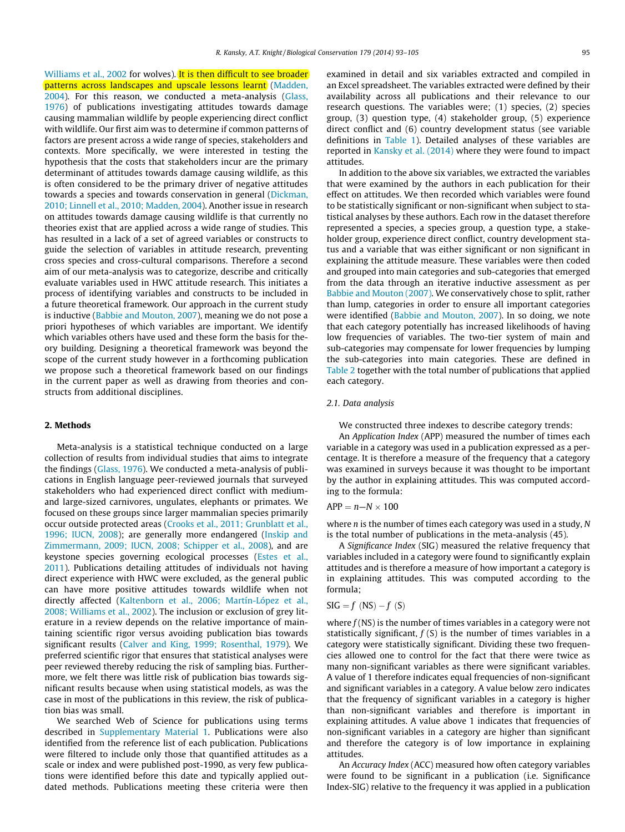<span id="page-2-0"></span>[Williams et al., 2002](#page-12-0) for wolves). It is then difficult to see broader patterns across landscapes and upscale lessons learnt ([Madden,](#page-11-0) [2004](#page-11-0)). For this reason, we conducted a meta-analysis ([Glass,](#page-11-0) [1976\)](#page-11-0) of publications investigating attitudes towards damage causing mammalian wildlife by people experiencing direct conflict with wildlife. Our first aim was to determine if common patterns of factors are present across a wide range of species, stakeholders and contexts. More specifically, we were interested in testing the hypothesis that the costs that stakeholders incur are the primary determinant of attitudes towards damage causing wildlife, as this is often considered to be the primary driver of negative attitudes towards a species and towards conservation in general [\(Dickman,](#page-11-0) [2010; Linnell et al., 2010; Madden, 2004](#page-11-0)). Another issue in research on attitudes towards damage causing wildlife is that currently no theories exist that are applied across a wide range of studies. This has resulted in a lack of a set of agreed variables or constructs to guide the selection of variables in attitude research, preventing cross species and cross-cultural comparisons. Therefore a second aim of our meta-analysis was to categorize, describe and critically evaluate variables used in HWC attitude research. This initiates a process of identifying variables and constructs to be included in a future theoretical framework. Our approach in the current study is inductive [\(Babbie and Mouton, 2007\)](#page-11-0), meaning we do not pose a priori hypotheses of which variables are important. We identify which variables others have used and these form the basis for theory building. Designing a theoretical framework was beyond the scope of the current study however in a forthcoming publication we propose such a theoretical framework based on our findings in the current paper as well as drawing from theories and constructs from additional disciplines.

# 2. Methods

Meta-analysis is a statistical technique conducted on a large collection of results from individual studies that aims to integrate the findings ([Glass, 1976\)](#page-11-0). We conducted a meta-analysis of publications in English language peer-reviewed journals that surveyed stakeholders who had experienced direct conflict with mediumand large-sized carnivores, ungulates, elephants or primates. We focused on these groups since larger mammalian species primarily occur outside protected areas [\(Crooks et al., 2011; Grunblatt et al.,](#page-11-0) [1996; IUCN, 2008\)](#page-11-0); are generally more endangered ([Inskip and](#page-11-0) [Zimmermann, 2009; IUCN, 2008; Schipper et al., 2008\)](#page-11-0), and are keystone species governing ecological processes [\(Estes et al.,](#page-11-0) [2011\)](#page-11-0). Publications detailing attitudes of individuals not having direct experience with HWC were excluded, as the general public can have more positive attitudes towards wildlife when not directly affected [\(Kaltenborn et al., 2006; Martín-López et al.,](#page-11-0) [2008; Williams et al., 2002\)](#page-11-0). The inclusion or exclusion of grey literature in a review depends on the relative importance of maintaining scientific rigor versus avoiding publication bias towards significant results [\(Calver and King, 1999; Rosenthal, 1979](#page-11-0)). We preferred scientific rigor that ensures that statistical analyses were peer reviewed thereby reducing the risk of sampling bias. Furthermore, we felt there was little risk of publication bias towards significant results because when using statistical models, as was the case in most of the publications in this review, the risk of publication bias was small.

We searched Web of Science for publications using terms described in Supplementary Material 1. Publications were also identified from the reference list of each publication. Publications were filtered to include only those that quantified attitudes as a scale or index and were published post-1990, as very few publications were identified before this date and typically applied outdated methods. Publications meeting these criteria were then examined in detail and six variables extracted and compiled in an Excel spreadsheet. The variables extracted were defined by their availability across all publications and their relevance to our research questions. The variables were; (1) species, (2) species group, (3) question type, (4) stakeholder group, (5) experience direct conflict and (6) country development status (see variable definitions in [Table 1\)](#page-3-0). Detailed analyses of these variables are reported in [Kansky et al. \(2014\)](#page-11-0) where they were found to impact attitudes.

In addition to the above six variables, we extracted the variables that were examined by the authors in each publication for their effect on attitudes. We then recorded which variables were found to be statistically significant or non-significant when subject to statistical analyses by these authors. Each row in the dataset therefore represented a species, a species group, a question type, a stakeholder group, experience direct conflict, country development status and a variable that was either significant or non significant in explaining the attitude measure. These variables were then coded and grouped into main categories and sub-categories that emerged from the data through an iterative inductive assessment as per [Babbie and Mouton \(2007\)](#page-11-0). We conservatively chose to split, rather than lump, categories in order to ensure all important categories were identified ([Babbie and Mouton, 2007](#page-11-0)). In so doing, we note that each category potentially has increased likelihoods of having low frequencies of variables. The two-tier system of main and sub-categories may compensate for lower frequencies by lumping the sub-categories into main categories. These are defined in [Table 2](#page-5-0) together with the total number of publications that applied each category.

# 2.1. Data analysis

We constructed three indexes to describe category trends:

An Application Index (APP) measured the number of times each variable in a category was used in a publication expressed as a percentage. It is therefore a measure of the frequency that a category was examined in surveys because it was thought to be important by the author in explaining attitudes. This was computed according to the formula:

#### $APP = n - N \times 100$

where *n* is the number of times each category was used in a study, N is the total number of publications in the meta-analysis (45).

A Significance Index (SIG) measured the relative frequency that variables included in a category were found to significantly explain attitudes and is therefore a measure of how important a category is in explaining attitudes. This was computed according to the formula;

## $SIG = f (NS) - f (S)$

where  $f$ (NS) is the number of times variables in a category were not statistically significant,  $f(S)$  is the number of times variables in a category were statistically significant. Dividing these two frequencies allowed one to control for the fact that there were twice as many non-significant variables as there were significant variables. A value of 1 therefore indicates equal frequencies of non-significant and significant variables in a category. A value below zero indicates that the frequency of significant variables in a category is higher than non-significant variables and therefore is important in explaining attitudes. A value above 1 indicates that frequencies of non-significant variables in a category are higher than significant and therefore the category is of low importance in explaining attitudes.

An Accuracy Index (ACC) measured how often category variables were found to be significant in a publication (i.e. Significance Index-SIG) relative to the frequency it was applied in a publication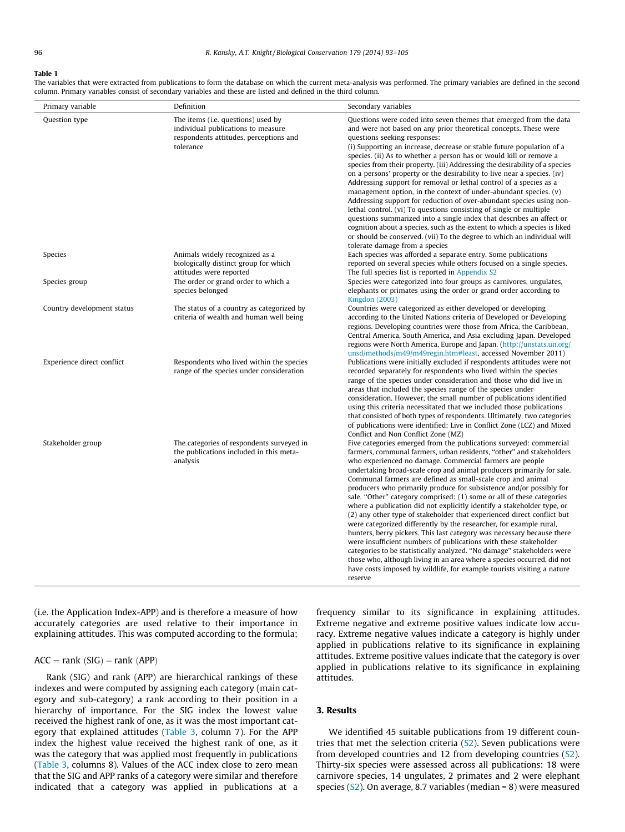#### <span id="page-3-0"></span>Table 1

The variables that were extracted from publications to form the database on which the current meta-analysis was performed. The primary variables are defined in the second column. Primary variables consist of secondary variables and these are listed and defined in the third column.

| Primary variable           | Definition                                                                                                                      | Secondary variables                                                                                                                                                                                                                                                                                                                                                                                                                                                                                                                                                                                                                                                                                                                                                                                                                                                                                                                                                                                                                                                                                              |
|----------------------------|---------------------------------------------------------------------------------------------------------------------------------|------------------------------------------------------------------------------------------------------------------------------------------------------------------------------------------------------------------------------------------------------------------------------------------------------------------------------------------------------------------------------------------------------------------------------------------------------------------------------------------------------------------------------------------------------------------------------------------------------------------------------------------------------------------------------------------------------------------------------------------------------------------------------------------------------------------------------------------------------------------------------------------------------------------------------------------------------------------------------------------------------------------------------------------------------------------------------------------------------------------|
| Question type              | The items (i.e. questions) used by<br>individual publications to measure<br>respondents attitudes, perceptions and<br>tolerance | Questions were coded into seven themes that emerged from the data<br>and were not based on any prior theoretical concepts. These were<br>questions seeking responses:<br>(i) Supporting an increase, decrease or stable future population of a<br>species. (ii) As to whether a person has or would kill or remove a<br>species from their property. (iii) Addressing the desirability of a species<br>on a persons' property or the desirability to live near a species. (iv)<br>Addressing support for removal or lethal control of a species as a<br>management option, in the context of under-abundant species. $(v)$<br>Addressing support for reduction of over-abundant species using non-<br>lethal control. (vi) To questions consisting of single or multiple<br>questions summarized into a single index that describes an affect or<br>cognition about a species, such as the extent to which a species is liked<br>or should be conserved. (vii) To the degree to which an individual will<br>tolerate damage from a species                                                                       |
| Species                    | Animals widely recognized as a<br>biologically distinct group for which<br>attitudes were reported                              | Each species was afforded a separate entry. Some publications<br>reported on several species while others focused on a single species.<br>The full species list is reported in Appendix S2                                                                                                                                                                                                                                                                                                                                                                                                                                                                                                                                                                                                                                                                                                                                                                                                                                                                                                                       |
| Species group              | The order or grand order to which a<br>species belonged                                                                         | Species were categorized into four groups as carnivores, ungulates,<br>elephants or primates using the order or grand order according to<br><b>Kingdon</b> (2003)                                                                                                                                                                                                                                                                                                                                                                                                                                                                                                                                                                                                                                                                                                                                                                                                                                                                                                                                                |
| Country development status | The status of a country as categorized by<br>criteria of wealth and human well being                                            | Countries were categorized as either developed or developing<br>according to the United Nations criteria of Developed or Developing<br>regions. Developing countries were those from Africa, the Caribbean,<br>Central America, South America, and Asia excluding Japan. Developed<br>regions were North America, Europe and Japan. (http://unstats.un.org/<br>unsd/methods/m49/m49regin.htm#least, accessed November 2011)                                                                                                                                                                                                                                                                                                                                                                                                                                                                                                                                                                                                                                                                                      |
| Experience direct conflict | Respondents who lived within the species<br>range of the species under consideration                                            | Publications were initially excluded if respondents attitudes were not<br>recorded separately for respondents who lived within the species<br>range of the species under consideration and those who did live in<br>areas that included the species range of the species under<br>consideration. However, the small number of publications identified<br>using this criteria necessitated that we included those publications<br>that consisted of both types of respondents. Ultimately, two categories<br>of publications were identified: Live in Conflict Zone (LCZ) and Mixed<br>Conflict and Non Conflict Zone (MZ)                                                                                                                                                                                                                                                                                                                                                                                                                                                                                        |
| Stakeholder group          | The categories of respondents surveyed in<br>the publications included in this meta-<br>analysis                                | Five categories emerged from the publications surveyed: commercial<br>farmers, communal farmers, urban residents, "other" and stakeholders<br>who experienced no damage. Commercial farmers are people<br>undertaking broad-scale crop and animal producers primarily for sale.<br>Communal farmers are defined as small-scale crop and animal<br>producers who primarily produce for subsistence and/or possibly for<br>sale. "Other" category comprised: (1) some or all of these categories<br>where a publication did not explicitly identify a stakeholder type, or<br>(2) any other type of stakeholder that experienced direct conflict but<br>were categorized differently by the researcher, for example rural,<br>hunters, berry pickers. This last category was necessary because there<br>were insufficient numbers of publications with these stakeholder<br>categories to be statistically analyzed. "No damage" stakeholders were<br>those who, although living in an area where a species occurred, did not<br>have costs imposed by wildlife, for example tourists visiting a nature<br>reserve |

(i.e. the Application Index-APP) and is therefore a measure of how accurately categories are used relative to their importance in explaining attitudes. This was computed according to the formula;

# $ACC = rank (SIG) - rank (APP)$

Rank (SIG) and rank (APP) are hierarchical rankings of these indexes and were computed by assigning each category (main category and sub-category) a rank according to their position in a hierarchy of importance. For the SIG index the lowest value received the highest rank of one, as it was the most important category that explained attitudes [\(Table 3](#page-6-0), column 7). For the APP index the highest value received the highest rank of one, as it was the category that was applied most frequently in publications ([Table 3,](#page-6-0) columns 8). Values of the ACC index close to zero mean that the SIG and APP ranks of a category were similar and therefore indicated that a category was applied in publications at a frequency similar to its significance in explaining attitudes. Extreme negative and extreme positive values indicate low accuracy. Extreme negative values indicate a category is highly under applied in publications relative to its significance in explaining attitudes. Extreme positive values indicate that the category is over applied in publications relative to its significance in explaining attitudes.

# 3. Results

We identified 45 suitable publications from 19 different countries that met the selection criteria  $(S2)$ . Seven publications were from developed countries and 12 from developing countries (S2). Thirty-six species were assessed across all publications: 18 were carnivore species, 14 ungulates, 2 primates and 2 were elephant species  $(S2)$ . On average, 8.7 variables (median = 8) were measured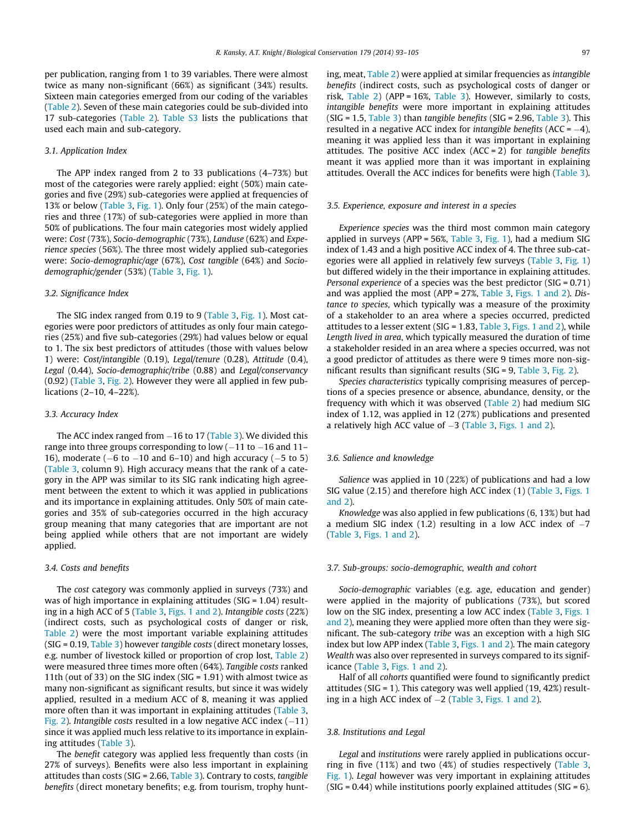per publication, ranging from 1 to 39 variables. There were almost twice as many non-significant (66%) as significant (34%) results. Sixteen main categories emerged from our coding of the variables ([Table 2\)](#page-5-0). Seven of these main categories could be sub-divided into 17 sub-categories ([Table 2\)](#page-5-0). Table S3 lists the publications that used each main and sub-category.

# 3.1. Application Index

The APP index ranged from 2 to 33 publications (4–73%) but most of the categories were rarely applied: eight (50%) main categories and five (29%) sub-categories were applied at frequencies of 13% or below ([Table 3](#page-6-0), [Fig. 1\)](#page-7-0). Only four (25%) of the main categories and three (17%) of sub-categories were applied in more than 50% of publications. The four main categories most widely applied were: Cost (73%), Socio-demographic (73%), Landuse (62%) and Experience species (56%). The three most widely applied sub-categories were: Socio-demographic/age (67%), Cost tangible (64%) and Sociodemographic/gender (53%) [\(Table 3,](#page-6-0) [Fig. 1\)](#page-7-0).

# 3.2. Significance Index

The SIG index ranged from 0.19 to 9 ([Table 3](#page-6-0), [Fig. 1](#page-7-0)). Most categories were poor predictors of attitudes as only four main categories (25%) and five sub-categories (29%) had values below or equal to 1. The six best predictors of attitudes (those with values below 1) were: Cost/intangible (0.19), Legal/tenure (0.28), Attitude (0.4), Legal (0.44), Socio-demographic/tribe (0.88) and Legal/conservancy (0.92) [\(Table 3,](#page-6-0) [Fig. 2\)](#page-8-0). However they were all applied in few publications (2–10, 4–22%).

### 3.3. Accuracy Index

The ACC index ranged from  $-16$  to 17 ([Table 3\)](#page-6-0). We divided this range into three groups corresponding to low ( $-11$  to  $-16$  and 11-16), moderate  $(-6 \text{ to } -10 \text{ and } 6-10)$  and high accuracy  $(-5 \text{ to } 5)$ ([Table 3](#page-6-0), column 9). High accuracy means that the rank of a category in the APP was similar to its SIG rank indicating high agreement between the extent to which it was applied in publications and its importance in explaining attitudes. Only 50% of main categories and 35% of sub-categories occurred in the high accuracy group meaning that many categories that are important are not being applied while others that are not important are widely applied.

### 3.4. Costs and benefits

The cost category was commonly applied in surveys (73%) and was of high importance in explaining attitudes (SIG = 1.04) resulting in a high ACC of 5 [\(Table 3](#page-6-0), [Figs. 1 and 2\)](#page-7-0). Intangible costs (22%) (indirect costs, such as psychological costs of danger or risk, [Table 2\)](#page-5-0) were the most important variable explaining attitudes  $(SIG = 0.19, Table 3)$  $(SIG = 0.19, Table 3)$  however tangible costs (direct monetary losses, e.g. number of livestock killed or proportion of crop lost, [Table 2\)](#page-5-0) were measured three times more often (64%). Tangible costs ranked 11th (out of 33) on the SIG index (SIG = 1.91) with almost twice as many non-significant as significant results, but since it was widely applied, resulted in a medium ACC of 8, meaning it was applied more often than it was important in explaining attitudes [\(Table 3,](#page-6-0) [Fig. 2\)](#page-8-0). Intangible costs resulted in a low negative ACC index  $(-11)$ since it was applied much less relative to its importance in explaining attitudes [\(Table 3](#page-6-0)).

The benefit category was applied less frequently than costs (in 27% of surveys). Benefits were also less important in explaining attitudes than costs ( $SIG = 2.66$ , [Table 3](#page-6-0)). Contrary to costs, tangible benefits (direct monetary benefits; e.g. from tourism, trophy hunting, meat, [Table 2\)](#page-5-0) were applied at similar frequencies as *intangible* benefits (indirect costs, such as psychological costs of danger or risk, [Table 2\)](#page-5-0) (APP = 16%, [Table 3\)](#page-6-0). However, similarly to costs, intangible benefits were more important in explaining attitudes (SIG =  $1.5$ , [Table 3](#page-6-0)) than tangible benefits (SIG =  $2.96$ , Table 3). This resulted in a negative ACC index for intangible benefits (ACC =  $-4$ ), meaning it was applied less than it was important in explaining attitudes. The positive ACC index  $(ACC = 2)$  for tangible benefits meant it was applied more than it was important in explaining attitudes. Overall the ACC indices for benefits were high [\(Table 3\)](#page-6-0).

### 3.5. Experience, exposure and interest in a species

Experience species was the third most common main category applied in surveys (APP = 56%, [Table 3,](#page-6-0) [Fig. 1](#page-7-0)), had a medium SIG index of 1.43 and a high positive ACC index of 4. The three sub-categories were all applied in relatively few surveys [\(Table 3](#page-6-0), [Fig. 1\)](#page-7-0) but differed widely in the their importance in explaining attitudes. Personal experience of a species was the best predictor ( $SIG = 0.71$ ) and was applied the most (APP = 27%, [Table 3,](#page-6-0) [Figs. 1 and 2](#page-7-0)). Distance to species, which typically was a measure of the proximity of a stakeholder to an area where a species occurred, predicted attitudes to a lesser extent (SIG = 1.83, [Table 3](#page-6-0), [Figs. 1 and 2\)](#page-7-0), while Length lived in area, which typically measured the duration of time a stakeholder resided in an area where a species occurred, was not a good predictor of attitudes as there were 9 times more non-significant results than significant results (SIG = 9, [Table 3,](#page-6-0) [Fig. 2\)](#page-8-0).

Species characteristics typically comprising measures of perceptions of a species presence or absence, abundance, density, or the frequency with which it was observed ([Table 2\)](#page-5-0) had medium SIG index of 1.12, was applied in 12 (27%) publications and presented a relatively high ACC value of  $-3$  ([Table 3](#page-6-0), [Figs. 1 and 2](#page-7-0)).

# 3.6. Salience and knowledge

Salience was applied in 10 (22%) of publications and had a low SIG value (2.15) and therefore high ACC index (1) [\(Table 3,](#page-6-0) [Figs. 1](#page-7-0) [and 2\)](#page-7-0).

Knowledge was also applied in few publications (6, 13%) but had a medium SIG index  $(1.2)$  resulting in a low ACC index of  $-7$ ([Table 3](#page-6-0), [Figs. 1 and 2](#page-7-0)).

### 3.7. Sub-groups: socio-demographic, wealth and cohort

Socio-demographic variables (e.g. age, education and gender) were applied in the majority of publications (73%), but scored low on the SIG index, presenting a low ACC index [\(Table 3](#page-6-0), [Figs. 1](#page-7-0) [and 2\)](#page-7-0), meaning they were applied more often than they were significant. The sub-category tribe was an exception with a high SIG index but low APP index [\(Table 3,](#page-6-0) [Figs. 1 and 2](#page-7-0)). The main category Wealth was also over represented in surveys compared to its significance ([Table 3,](#page-6-0) [Figs. 1 and 2](#page-7-0)).

Half of all cohorts quantified were found to significantly predict attitudes (SIG = 1). This category was well applied (19, 42%) resulting in a high ACC index of  $-2$  ([Table 3](#page-6-0), [Figs. 1 and 2](#page-7-0)).

# 3.8. Institutions and Legal

Legal and institutions were rarely applied in publications occurring in five (11%) and two (4%) of studies respectively ([Table 3,](#page-6-0) [Fig. 1](#page-7-0)). Legal however was very important in explaining attitudes  $(SIG = 0.44)$  while institutions poorly explained attitudes  $(SIG = 6)$ .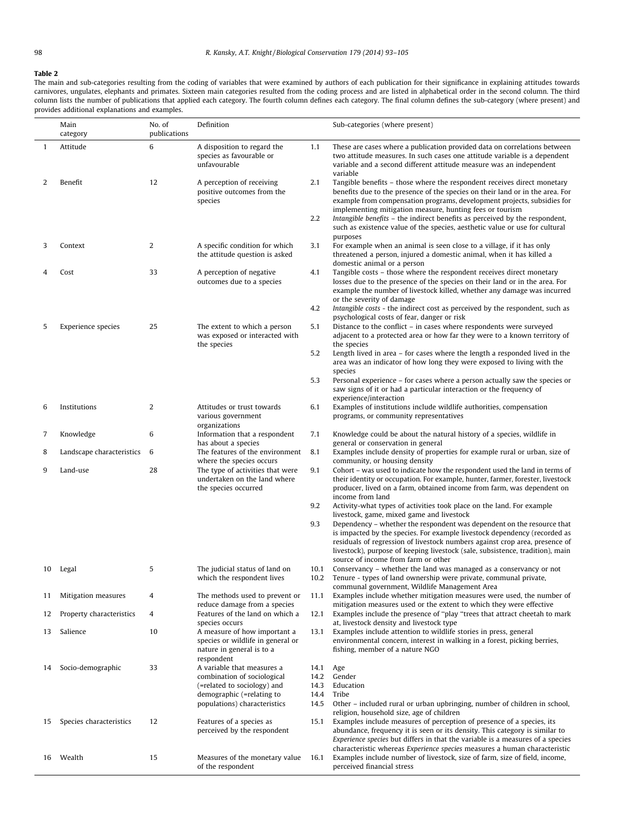#### <span id="page-5-0"></span>Table 2

The main and sub-categories resulting from the coding of variables that were examined by authors of each publication for their significance in explaining attitudes towards carnivores, ungulates, elephants and primates. Sixteen main categories resulted from the coding process and are listed in alphabetical order in the second column. The third column lists the number of publications that applied each category. The fourth column defines each category. The final column defines the sub-category (where present) and provides additional explanations and examples.

|    | Main<br>category          | No. of<br>publications | Definition                                                                                                                                                          |                                      | Sub-categories (where present)                                                                                                                                                                                                                                                                                                                                   |
|----|---------------------------|------------------------|---------------------------------------------------------------------------------------------------------------------------------------------------------------------|--------------------------------------|------------------------------------------------------------------------------------------------------------------------------------------------------------------------------------------------------------------------------------------------------------------------------------------------------------------------------------------------------------------|
| 1  | Attitude                  | 6                      | A disposition to regard the<br>species as favourable or<br>unfavourable                                                                                             | 1.1                                  | These are cases where a publication provided data on correlations between<br>two attitude measures. In such cases one attitude variable is a dependent<br>variable and a second different attitude measure was an independent<br>variable                                                                                                                        |
| 2  | Benefit                   | 12                     | A perception of receiving<br>positive outcomes from the<br>species                                                                                                  | 2.1                                  | Tangible benefits - those where the respondent receives direct monetary<br>benefits due to the presence of the species on their land or in the area. For<br>example from compensation programs, development projects, subsidies for<br>implementing mitigation measure, hunting fees or tourism                                                                  |
|    |                           |                        |                                                                                                                                                                     | 2.2                                  | Intangible benefits – the indirect benefits as perceived by the respondent,<br>such as existence value of the species, aesthetic value or use for cultural<br>purposes                                                                                                                                                                                           |
| 3  | Context                   | 2                      | A specific condition for which<br>the attitude question is asked                                                                                                    | 3.1                                  | For example when an animal is seen close to a village, if it has only<br>threatened a person, injured a domestic animal, when it has killed a<br>domestic animal or a person                                                                                                                                                                                     |
|    | Cost                      | 33                     | A perception of negative<br>outcomes due to a species                                                                                                               | 4.1                                  | Tangible costs - those where the respondent receives direct monetary<br>losses due to the presence of the species on their land or in the area. For<br>example the number of livestock killed, whether any damage was incurred<br>or the severity of damage                                                                                                      |
|    |                           |                        |                                                                                                                                                                     | 4.2                                  | Intangible costs - the indirect cost as perceived by the respondent, such as<br>psychological costs of fear, danger or risk                                                                                                                                                                                                                                      |
| 5  | <b>Experience species</b> | 25                     | The extent to which a person<br>was exposed or interacted with<br>the species                                                                                       | 5.1                                  | Distance to the conflict - in cases where respondents were surveyed<br>adjacent to a protected area or how far they were to a known territory of<br>the species                                                                                                                                                                                                  |
|    |                           |                        |                                                                                                                                                                     | 5.2                                  | Length lived in area - for cases where the length a responded lived in the<br>area was an indicator of how long they were exposed to living with the<br>species                                                                                                                                                                                                  |
|    |                           |                        |                                                                                                                                                                     | 5.3                                  | Personal experience - for cases where a person actually saw the species or<br>saw signs of it or had a particular interaction or the frequency of<br>experience/interaction                                                                                                                                                                                      |
| 6  | Institutions              | 2                      | Attitudes or trust towards<br>various government<br>organizations                                                                                                   | 6.1                                  | Examples of institutions include wildlife authorities, compensation<br>programs, or community representatives                                                                                                                                                                                                                                                    |
| 7  | Knowledge                 | 6                      | Information that a respondent                                                                                                                                       | 7.1                                  | Knowledge could be about the natural history of a species, wildlife in                                                                                                                                                                                                                                                                                           |
| 8  | Landscape characteristics | 6                      | has about a species<br>The features of the environment<br>where the species occurs                                                                                  | 8.1                                  | general or conservation in general<br>Examples include density of properties for example rural or urban, size of<br>community, or housing density                                                                                                                                                                                                                |
| 9  | Land-use                  | 28                     | The type of activities that were<br>undertaken on the land where<br>the species occurred                                                                            | 9.1                                  | Cohort – was used to indicate how the respondent used the land in terms of<br>their identity or occupation. For example, hunter, farmer, forester, livestock<br>producer, lived on a farm, obtained income from farm, was dependent on<br>income from land                                                                                                       |
|    |                           |                        |                                                                                                                                                                     | 9.2                                  | Activity-what types of activities took place on the land. For example<br>livestock, game, mixed game and livestock                                                                                                                                                                                                                                               |
|    |                           |                        |                                                                                                                                                                     | 9.3                                  | Dependency - whether the respondent was dependent on the resource that<br>is impacted by the species. For example livestock dependency (recorded as<br>residuals of regression of livestock numbers against crop area, presence of<br>livestock), purpose of keeping livestock (sale, subsistence, tradition), main                                              |
| 10 | Legal                     | 5                      | The judicial status of land on                                                                                                                                      | 10.1                                 | source of income from farm or other<br>Conservancy – whether the land was managed as a conservancy or not                                                                                                                                                                                                                                                        |
|    |                           |                        | which the respondent lives                                                                                                                                          | 10.2                                 | Tenure - types of land ownership were private, communal private,<br>communal government, Wildlife Management Area                                                                                                                                                                                                                                                |
| 11 | Mitigation measures       | 4                      | The methods used to prevent or<br>reduce damage from a species                                                                                                      | 11.1                                 | Examples include whether mitigation measures were used, the number of<br>mitigation measures used or the extent to which they were effective                                                                                                                                                                                                                     |
| 12 | Property characteristics  | 4                      | Features of the land on which a<br>species occurs                                                                                                                   | 12.1                                 | Examples include the presence of "play "trees that attract cheetah to mark<br>at, livestock density and livestock type                                                                                                                                                                                                                                           |
| 13 | Salience                  | 10                     | A measure of how important a<br>species or wildlife in general or<br>nature in general is to a                                                                      | 13.1                                 | Examples include attention to wildlife stories in press, general<br>environmental concern, interest in walking in a forest, picking berries,<br>fishing, member of a nature NGO                                                                                                                                                                                  |
| 14 | Socio-demographic         | 33                     | respondent<br>A variable that measures a<br>combination of sociological<br>(=related to sociology) and<br>demographic (=relating to<br>populations) characteristics | 14.1<br>14.2<br>14.3<br>14.4<br>14.5 | Age<br>Gender<br>Education<br>Tribe<br>Other – included rural or urban upbringing, number of children in school,                                                                                                                                                                                                                                                 |
| 15 | Species characteristics   | 12                     | Features of a species as<br>perceived by the respondent                                                                                                             | 15.1                                 | religion, household size, age of children<br>Examples include measures of perception of presence of a species, its<br>abundance, frequency it is seen or its density. This category is similar to<br>Experience species but differs in that the variable is a measures of a species<br>characteristic whereas Experience species measures a human characteristic |
| 16 | Wealth                    | 15                     | Measures of the monetary value<br>of the respondent                                                                                                                 | 16.1                                 | Examples include number of livestock, size of farm, size of field, income,<br>perceived financial stress                                                                                                                                                                                                                                                         |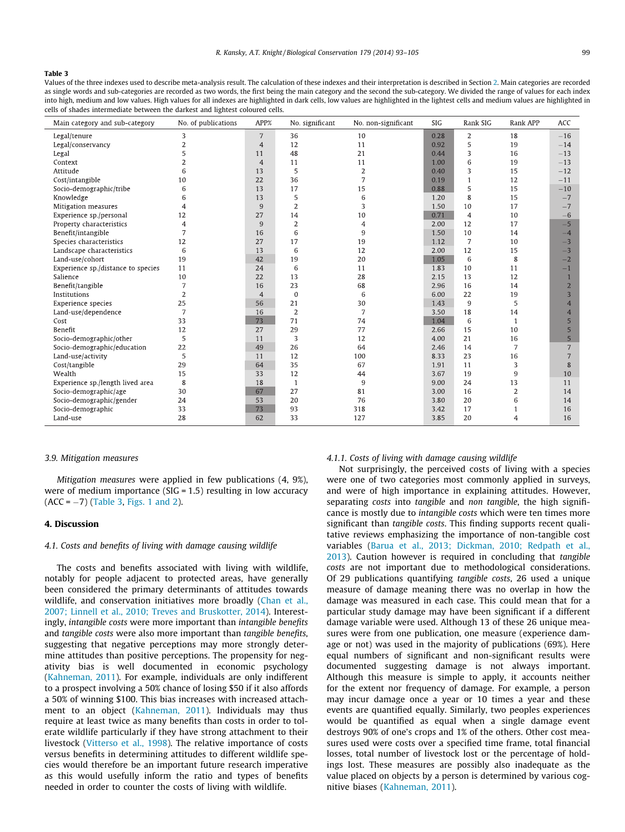#### <span id="page-6-0"></span>Table 3

Values of the three indexes used to describe meta-analysis result. The calculation of these indexes and their interpretation is described in Section [2](#page-2-0). Main categories are recorded as single words and sub-categories are recorded as two words, the first being the main category and the second the sub-category. We divided the range of values for each index into high, medium and low values. High values for all indexes are highlighted in dark cells, low values are highlighted in the lightest cells and medium values are highlighted in cells of shades intermediate between the darkest and lightest coloured cells.

| Main category and sub-category     | No. of publications | APP%           | No. significant | No. non-significant     | <b>SIG</b> | Rank SIG       | Rank APP       | ACC             |
|------------------------------------|---------------------|----------------|-----------------|-------------------------|------------|----------------|----------------|-----------------|
| Legal/tenure                       | 3                   | 7              | 36              | 10                      | 0.28       | $\overline{2}$ | 18             | $-16$           |
| Legal/conservancy                  | $\overline{2}$      | $\overline{4}$ | 12              | 11                      | 0.92       | 5              | 19             | $-14$           |
| Legal                              | 5                   | 11             | 48              | 21                      | 0.44       | 3              | 16             | $-13$           |
| Context                            | $\overline{2}$      | $\overline{4}$ | 11              | 11                      | 1.00       | 6              | 19             | $-13$           |
| Attitude                           | 6                   | 13             | 5               | $\overline{\mathbf{c}}$ | 0.40       | 3              | 15             | $-12$           |
| Cost/intangible                    | 10                  | 22             | 36              | 7                       | 0.19       |                | 12             | $-11$           |
| Socio-demographic/tribe            | 6                   | 13             | 17              | 15                      | 0.88       | 5              | 15             | $-10$           |
| Knowledge                          | 6                   | 13             | 5               | 6                       | 1.20       | 8              | 15             | $-7$            |
| Mitigation measures                | 4                   | 9              | $\overline{2}$  | 3                       | 1.50       | 10             | 17             | $-7$            |
| Experience sp./personal            | 12                  | 27             | 14              | 10                      | 0.71       | $\overline{4}$ | 10             | $-6$            |
| Property characteristics           | 4                   | 9              | $\overline{2}$  | 4                       | 2.00       | 12             | 17             | $-5$            |
| Benefit/intangible                 | 7                   | 16             | 6               | 9                       | 1.50       | 10             | 14             | $-4$            |
| Species characteristics            | 12                  | 27             | 17              | 19                      | 1.12       | $\overline{7}$ | 10             | $-3$            |
| Landscape characteristics          | 6                   | 13             | 6               | 12                      | 2.00       | 12             | 15             | $-3$            |
| Land-use/cohort                    | 19                  | 42             | 19              | 20                      | 1.05       | 6              | 8              | $-2$            |
| Experience sp./distance to species | 11                  | 24             | 6               | 11                      | 1.83       | 10             | 11             | $-1$            |
| Salience                           | 10                  | 22             | 13              | 28                      | 2.15       | 13             | 12             |                 |
| Benefit/tangible                   | 7                   | 16             | 23              | 68                      | 2.96       | 16             | 14             | $\overline{2}$  |
| Institutions                       | $\overline{2}$      | $\overline{4}$ | $\mathbf{0}$    | 6                       | 6.00       | 22             | 19             | $\overline{3}$  |
| Experience species                 | 25                  | 56             | 21              | 30                      | 1.43       | 9              | 5              | $\overline{4}$  |
| Land-use/dependence                | 7                   | 16             | $\overline{2}$  | 7                       | 3.50       | 18             | 14             | $\overline{4}$  |
| Cost                               | 33                  | 73             | 71              | 74                      | 1.04       | 6              |                | 5               |
| Benefit                            | 12                  | 27             | 29              | 77                      | 2.66       | 15             | 10             | 5               |
| Socio-demographic/other            | 5                   | 11             | 3               | 12                      | 4.00       | 21             | 16             | 5               |
| Socio-demographic/education        | 22                  | 49             | 26              | 64                      | 2.46       | 14             | $\overline{7}$ | 7               |
| Land-use/activity                  | 5                   | 11             | 12              | 100                     | 8.33       | 23             | 16             | $7\phantom{.0}$ |
| Cost/tangible                      | 29                  | 64             | 35              | 67                      | 1.91       | 11             | 3              | 8               |
| Wealth                             | 15                  | 33             | 12              | 44                      | 3.67       | 19             | 9              | 10              |
| Experience sp./length lived area   | 8                   | 18             | $\mathbf{1}$    | 9                       | 9.00       | 24             | 13             | 11              |
| Socio-demographic/age              | 30                  | 67             | 27              | 81                      | 3.00       | 16             | $\overline{2}$ | 14              |
| Socio-demographic/gender           | 24                  | 53             | 20              | 76                      | 3.80       | 20             | 6              | 14              |
| Socio-demographic                  | 33                  | 73             | 93              | 318                     | 3.42       | 17             | 1              | 16              |
| Land-use                           | 28                  | 62             | 33              | 127                     | 3.85       | 20             | $\overline{4}$ | 16              |

#### 3.9. Mitigation measures

Mitigation measures were applied in few publications (4, 9%), were of medium importance (SIG = 1.5) resulting in low accuracy  $(ACC = -7)$  (Table 3, [Figs. 1 and 2\)](#page-7-0).

## 4. Discussion

#### 4.1. Costs and benefits of living with damage causing wildlife

The costs and benefits associated with living with wildlife, notably for people adjacent to protected areas, have generally been considered the primary determinants of attitudes towards wildlife, and conservation initiatives more broadly ([Chan et al.,](#page-11-0) [2007; Linnell et al., 2010; Treves and Bruskotter, 2014](#page-11-0)). Interestingly, intangible costs were more important than intangible benefits and tangible costs were also more important than tangible benefits, suggesting that negative perceptions may more strongly determine attitudes than positive perceptions. The propensity for negativity bias is well documented in economic psychology ([Kahneman, 2011](#page-11-0)). For example, individuals are only indifferent to a prospect involving a 50% chance of losing \$50 if it also affords a 50% of winning \$100. This bias increases with increased attachment to an object ([Kahneman, 2011](#page-11-0)). Individuals may thus require at least twice as many benefits than costs in order to tolerate wildlife particularly if they have strong attachment to their livestock [\(Vitterso et al., 1998\)](#page-12-0). The relative importance of costs versus benefits in determining attitudes to different wildlife species would therefore be an important future research imperative as this would usefully inform the ratio and types of benefits needed in order to counter the costs of living with wildlife.

#### 4.1.1. Costs of living with damage causing wildlife

Not surprisingly, the perceived costs of living with a species were one of two categories most commonly applied in surveys, and were of high importance in explaining attitudes. However, separating costs into tangible and non tangible, the high significance is mostly due to intangible costs which were ten times more significant than tangible costs. This finding supports recent qualitative reviews emphasizing the importance of non-tangible cost variables ([Barua et al., 2013; Dickman, 2010; Redpath et al.,](#page-11-0) [2013](#page-11-0)). Caution however is required in concluding that tangible costs are not important due to methodological considerations. Of 29 publications quantifying tangible costs, 26 used a unique measure of damage meaning there was no overlap in how the damage was measured in each case. This could mean that for a particular study damage may have been significant if a different damage variable were used. Although 13 of these 26 unique measures were from one publication, one measure (experience damage or not) was used in the majority of publications (69%). Here equal numbers of significant and non-significant results were documented suggesting damage is not always important. Although this measure is simple to apply, it accounts neither for the extent nor frequency of damage. For example, a person may incur damage once a year or 10 times a year and these events are quantified equally. Similarly, two peoples experiences would be quantified as equal when a single damage event destroys 90% of one's crops and 1% of the others. Other cost measures used were costs over a specified time frame, total financial losses, total number of livestock lost or the percentage of holdings lost. These measures are possibly also inadequate as the value placed on objects by a person is determined by various cognitive biases ([Kahneman, 2011](#page-11-0)).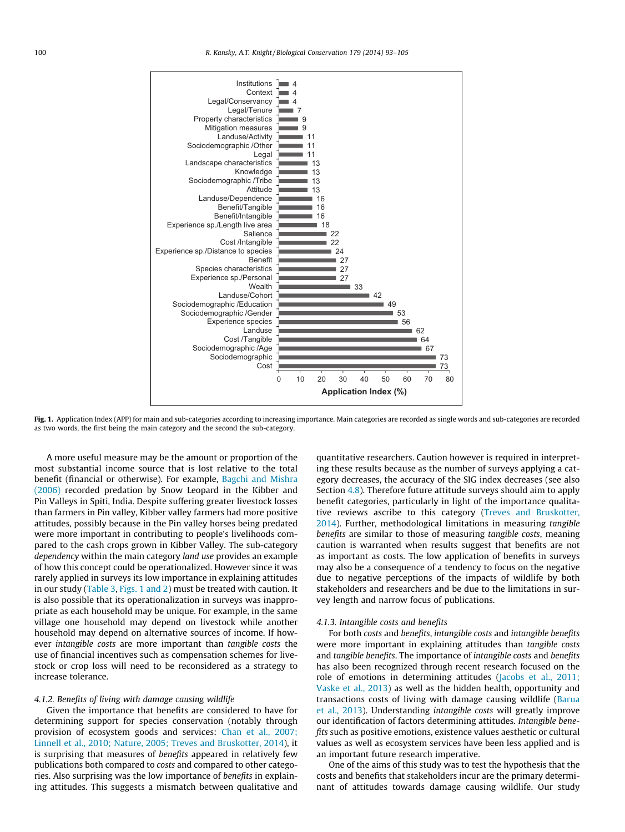<span id="page-7-0"></span>

Fig. 1. Application Index (APP) for main and sub-categories according to increasing importance. Main categories are recorded as single words and sub-categories are recorded as two words, the first being the main category and the second the sub-category.

A more useful measure may be the amount or proportion of the most substantial income source that is lost relative to the total benefit (financial or otherwise). For example, [Bagchi and Mishra](#page-11-0) [\(2006\)](#page-11-0) recorded predation by Snow Leopard in the Kibber and Pin Valleys in Spiti, India. Despite suffering greater livestock losses than farmers in Pin valley, Kibber valley farmers had more positive attitudes, possibly because in the Pin valley horses being predated were more important in contributing to people's livelihoods compared to the cash crops grown in Kibber Valley. The sub-category dependency within the main category land use provides an example of how this concept could be operationalized. However since it was rarely applied in surveys its low importance in explaining attitudes in our study [\(Table 3](#page-6-0), Figs. 1 and 2) must be treated with caution. It is also possible that its operationalization in surveys was inappropriate as each household may be unique. For example, in the same village one household may depend on livestock while another household may depend on alternative sources of income. If however intangible costs are more important than tangible costs the use of financial incentives such as compensation schemes for livestock or crop loss will need to be reconsidered as a strategy to increase tolerance.

#### 4.1.2. Benefits of living with damage causing wildlife

Given the importance that benefits are considered to have for determining support for species conservation (notably through provision of ecosystem goods and services: [Chan et al., 2007;](#page-11-0) [Linnell et al., 2010; Nature, 2005; Treves and Bruskotter, 2014\)](#page-11-0), it is surprising that measures of benefits appeared in relatively few publications both compared to costs and compared to other categories. Also surprising was the low importance of benefits in explaining attitudes. This suggests a mismatch between qualitative and

quantitative researchers. Caution however is required in interpreting these results because as the number of surveys applying a category decreases, the accuracy of the SIG index decreases (see also Section [4.8\)](#page-10-0). Therefore future attitude surveys should aim to apply benefit categories, particularly in light of the importance qualitative reviews ascribe to this category ([Treves and Bruskotter,](#page-12-0) [2014\)](#page-12-0). Further, methodological limitations in measuring tangible benefits are similar to those of measuring tangible costs, meaning caution is warranted when results suggest that benefits are not as important as costs. The low application of benefits in surveys may also be a consequence of a tendency to focus on the negative due to negative perceptions of the impacts of wildlife by both stakeholders and researchers and be due to the limitations in survey length and narrow focus of publications.

#### 4.1.3. Intangible costs and benefits

For both costs and benefits, intangible costs and intangible benefits were more important in explaining attitudes than tangible costs and tangible benefits. The importance of intangible costs and benefits has also been recognized through recent research focused on the role of emotions in determining attitudes ([Jacobs et al., 2011;](#page-11-0) [Vaske et al., 2013\)](#page-11-0) as well as the hidden health, opportunity and transactions costs of living with damage causing wildlife [\(Barua](#page-11-0) [et al., 2013](#page-11-0)). Understanding intangible costs will greatly improve our identification of factors determining attitudes. Intangible benefits such as positive emotions, existence values aesthetic or cultural values as well as ecosystem services have been less applied and is an important future research imperative.

One of the aims of this study was to test the hypothesis that the costs and benefits that stakeholders incur are the primary determinant of attitudes towards damage causing wildlife. Our study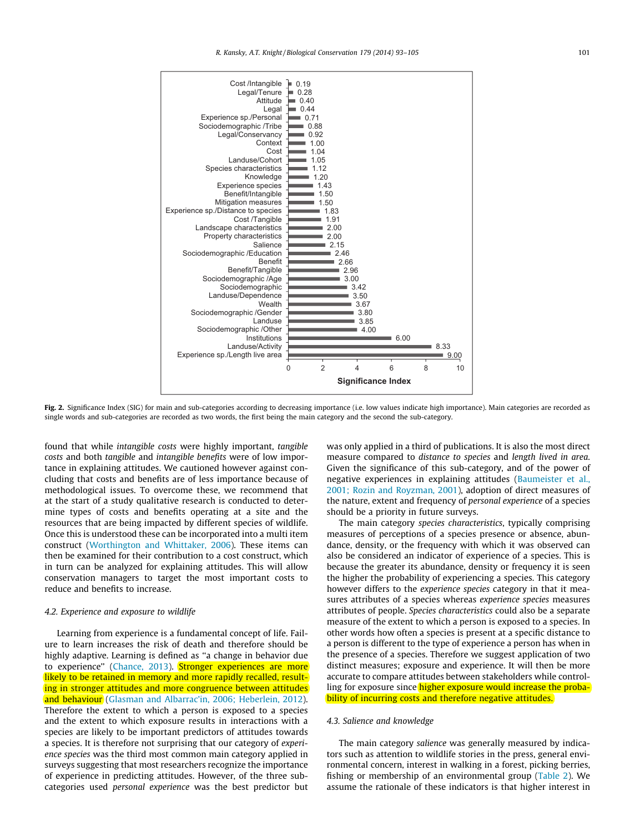<span id="page-8-0"></span>

Fig. 2. Significance Index (SIG) for main and sub-categories according to decreasing importance (i.e. low values indicate high importance). Main categories are recorded as single words and sub-categories are recorded as two words, the first being the main category and the second the sub-category.

found that while intangible costs were highly important, tangible costs and both tangible and intangible benefits were of low importance in explaining attitudes. We cautioned however against concluding that costs and benefits are of less importance because of methodological issues. To overcome these, we recommend that at the start of a study qualitative research is conducted to determine types of costs and benefits operating at a site and the resources that are being impacted by different species of wildlife. Once this is understood these can be incorporated into a multi item construct [\(Worthington and Whittaker, 2006](#page-12-0)). These items can then be examined for their contribution to a cost construct, which in turn can be analyzed for explaining attitudes. This will allow conservation managers to target the most important costs to reduce and benefits to increase.

#### 4.2. Experience and exposure to wildlife

Learning from experience is a fundamental concept of life. Failure to learn increases the risk of death and therefore should be highly adaptive. Learning is defined as ''a change in behavior due to experience" ([Chance, 2013\)](#page-11-0). Stronger experiences are more likely to be retained in memory and more rapidly recalled, resulting in stronger attitudes and more congruence between attitudes and behaviour ([Glasman and Albarrac'in, 2006; Heberlein, 2012\)](#page-11-0). Therefore the extent to which a person is exposed to a species and the extent to which exposure results in interactions with a species are likely to be important predictors of attitudes towards a species. It is therefore not surprising that our category of experience species was the third most common main category applied in surveys suggesting that most researchers recognize the importance of experience in predicting attitudes. However, of the three subcategories used personal experience was the best predictor but was only applied in a third of publications. It is also the most direct measure compared to distance to species and length lived in area. Given the significance of this sub-category, and of the power of negative experiences in explaining attitudes [\(Baumeister et al.,](#page-11-0) [2001; Rozin and Royzman, 2001](#page-11-0)), adoption of direct measures of the nature, extent and frequency of personal experience of a species should be a priority in future surveys.

The main category species characteristics, typically comprising measures of perceptions of a species presence or absence, abundance, density, or the frequency with which it was observed can also be considered an indicator of experience of a species. This is because the greater its abundance, density or frequency it is seen the higher the probability of experiencing a species. This category however differs to the experience species category in that it measures attributes of a species whereas experience species measures attributes of people. Species characteristics could also be a separate measure of the extent to which a person is exposed to a species. In other words how often a species is present at a specific distance to a person is different to the type of experience a person has when in the presence of a species. Therefore we suggest application of two distinct measures; exposure and experience. It will then be more accurate to compare attitudes between stakeholders while controlling for exposure since higher exposure would increase the probability of incurring costs and therefore negative attitudes.

#### 4.3. Salience and knowledge

The main category salience was generally measured by indicators such as attention to wildlife stories in the press, general environmental concern, interest in walking in a forest, picking berries, fishing or membership of an environmental group [\(Table 2\)](#page-5-0). We assume the rationale of these indicators is that higher interest in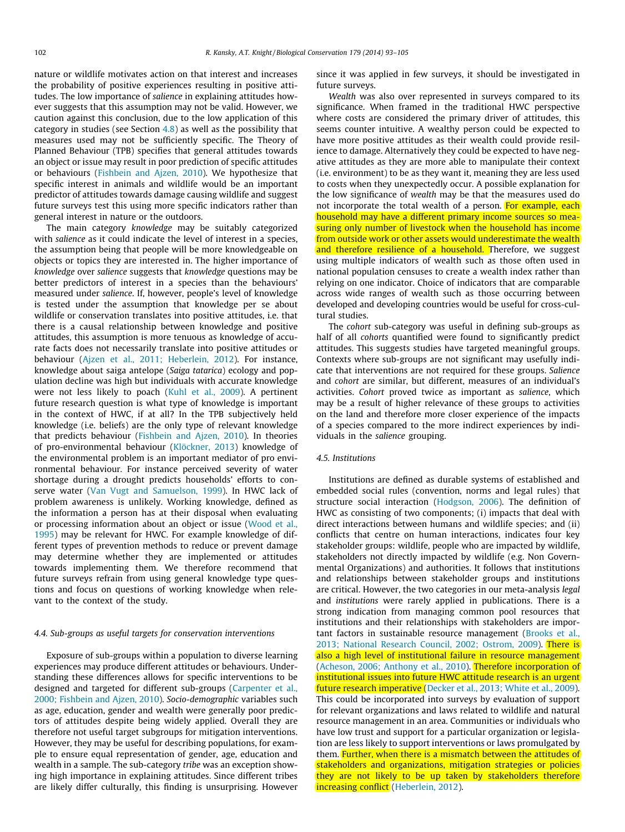nature or wildlife motivates action on that interest and increases the probability of positive experiences resulting in positive attitudes. The low importance of salience in explaining attitudes however suggests that this assumption may not be valid. However, we caution against this conclusion, due to the low application of this category in studies (see Section  $4.8$ ) as well as the possibility that measures used may not be sufficiently specific. The Theory of Planned Behaviour (TPB) specifies that general attitudes towards an object or issue may result in poor prediction of specific attitudes or behaviours [\(Fishbein and Ajzen, 2010](#page-11-0)). We hypothesize that specific interest in animals and wildlife would be an important predictor of attitudes towards damage causing wildlife and suggest future surveys test this using more specific indicators rather than general interest in nature or the outdoors.

The main category knowledge may be suitably categorized with salience as it could indicate the level of interest in a species, the assumption being that people will be more knowledgeable on objects or topics they are interested in. The higher importance of knowledge over salience suggests that knowledge questions may be better predictors of interest in a species than the behaviours' measured under salience. If, however, people's level of knowledge is tested under the assumption that knowledge per se about wildlife or conservation translates into positive attitudes, i.e. that there is a causal relationship between knowledge and positive attitudes, this assumption is more tenuous as knowledge of accurate facts does not necessarily translate into positive attitudes or behaviour ([Ajzen et al., 2011; Heberlein, 2012](#page-11-0)). For instance, knowledge about saiga antelope (Saiga tatarica) ecology and population decline was high but individuals with accurate knowledge were not less likely to poach [\(Kuhl et al., 2009\)](#page-11-0). A pertinent future research question is what type of knowledge is important in the context of HWC, if at all? In the TPB subjectively held knowledge (i.e. beliefs) are the only type of relevant knowledge that predicts behaviour [\(Fishbein and Ajzen, 2010](#page-11-0)). In theories of pro-environmental behaviour [\(Klöckner, 2013\)](#page-11-0) knowledge of the environmental problem is an important mediator of pro environmental behaviour. For instance perceived severity of water shortage during a drought predicts households' efforts to conserve water [\(Van Vugt and Samuelson, 1999\)](#page-12-0). In HWC lack of problem awareness is unlikely. Working knowledge, defined as the information a person has at their disposal when evaluating or processing information about an object or issue ([Wood et al.,](#page-12-0) [1995\)](#page-12-0) may be relevant for HWC. For example knowledge of different types of prevention methods to reduce or prevent damage may determine whether they are implemented or attitudes towards implementing them. We therefore recommend that future surveys refrain from using general knowledge type questions and focus on questions of working knowledge when relevant to the context of the study.

#### 4.4. Sub-groups as useful targets for conservation interventions

Exposure of sub-groups within a population to diverse learning experiences may produce different attitudes or behaviours. Understanding these differences allows for specific interventions to be designed and targeted for different sub-groups ([Carpenter et al.,](#page-11-0) [2000; Fishbein and Ajzen, 2010\)](#page-11-0). Socio-demographic variables such as age, education, gender and wealth were generally poor predictors of attitudes despite being widely applied. Overall they are therefore not useful target subgroups for mitigation interventions. However, they may be useful for describing populations, for example to ensure equal representation of gender, age, education and wealth in a sample. The sub-category tribe was an exception showing high importance in explaining attitudes. Since different tribes are likely differ culturally, this finding is unsurprising. However since it was applied in few surveys, it should be investigated in future surveys.

Wealth was also over represented in surveys compared to its significance. When framed in the traditional HWC perspective where costs are considered the primary driver of attitudes, this seems counter intuitive. A wealthy person could be expected to have more positive attitudes as their wealth could provide resilience to damage. Alternatively they could be expected to have negative attitudes as they are more able to manipulate their context (i.e. environment) to be as they want it, meaning they are less used to costs when they unexpectedly occur. A possible explanation for the low significance of wealth may be that the measures used do not incorporate the total wealth of a person. For example, each household may have a different primary income sources so measuring only number of livestock when the household has income from outside work or other assets would underestimate the wealth and therefore resilience of a household. Therefore, we suggest using multiple indicators of wealth such as those often used in national population censuses to create a wealth index rather than relying on one indicator. Choice of indicators that are comparable across wide ranges of wealth such as those occurring between developed and developing countries would be useful for cross-cultural studies.

The cohort sub-category was useful in defining sub-groups as half of all cohorts quantified were found to significantly predict attitudes. This suggests studies have targeted meaningful groups. Contexts where sub-groups are not significant may usefully indicate that interventions are not required for these groups. Salience and cohort are similar, but different, measures of an individual's activities. Cohort proved twice as important as salience, which may be a result of higher relevance of these groups to activities on the land and therefore more closer experience of the impacts of a species compared to the more indirect experiences by individuals in the salience grouping.

# 4.5. Institutions

Institutions are defined as durable systems of established and embedded social rules (convention, norms and legal rules) that structure social interaction ([Hodgson, 2006](#page-11-0)). The definition of HWC as consisting of two components; (i) impacts that deal with direct interactions between humans and wildlife species; and (ii) conflicts that centre on human interactions, indicates four key stakeholder groups: wildlife, people who are impacted by wildlife, stakeholders not directly impacted by wildlife (e.g. Non Governmental Organizations) and authorities. It follows that institutions and relationships between stakeholder groups and institutions are critical. However, the two categories in our meta-analysis legal and institutions were rarely applied in publications. There is a strong indication from managing common pool resources that institutions and their relationships with stakeholders are impor-tant factors in sustainable resource management [\(Brooks et al.,](#page-11-0) [2013; National Research Council, 2002; Ostrom, 2009\)](#page-11-0). There is also a high level of institutional failure in resource management ([Acheson, 2006; Anthony et al., 2010](#page-11-0)). Therefore incorporation of institutional issues into future HWC attitude research is an urgent future research imperative [\(Decker et al., 2013; White et al., 2009\)](#page-11-0). This could be incorporated into surveys by evaluation of support for relevant organizations and laws related to wildlife and natural resource management in an area. Communities or individuals who have low trust and support for a particular organization or legislation are less likely to support interventions or laws promulgated by them. Further, when there is a mismatch between the attitudes of stakeholders and organizations, mitigation strategies or policies they are not likely to be up taken by stakeholders therefore increasing conflict ([Heberlein, 2012\)](#page-11-0).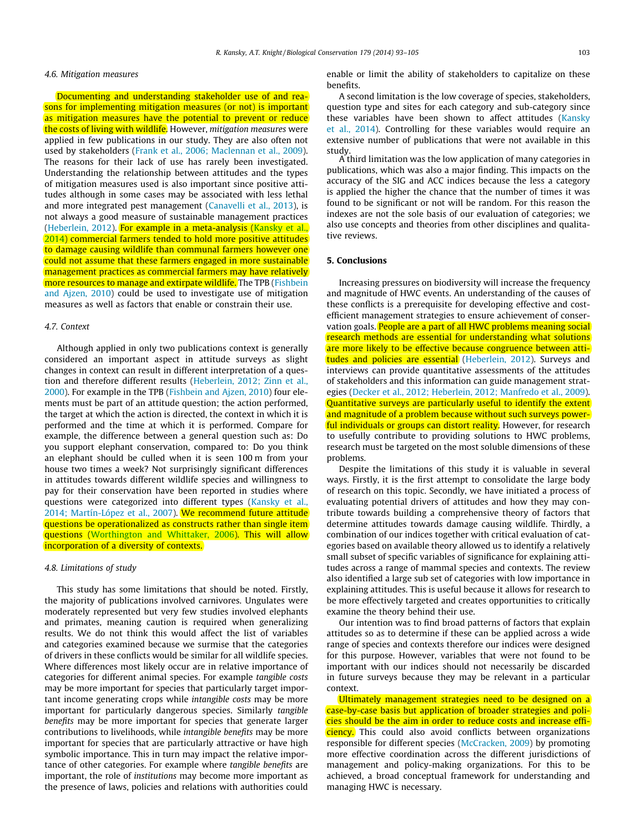#### <span id="page-10-0"></span>4.6. Mitigation measures

Documenting and understanding stakeholder use of and reasons for implementing mitigation measures (or not) is important as mitigation measures have the potential to prevent or reduce the costs of living with wildlife. However, mitigation measures were applied in few publications in our study. They are also often not used by stakeholders [\(Frank et al., 2006; Maclennan et al., 2009\)](#page-11-0). The reasons for their lack of use has rarely been investigated. Understanding the relationship between attitudes and the types of mitigation measures used is also important since positive attitudes although in some cases may be associated with less lethal and more integrated pest management ([Canavelli et al., 2013](#page-11-0)), is not always a good measure of sustainable management practices ([Heberlein, 2012](#page-11-0)). For example in a meta-analysis [\(Kansky et al.,](#page-11-0) [2014\)](#page-11-0) commercial farmers tended to hold more positive attitudes to damage causing wildlife than communal farmers however one could not assume that these farmers engaged in more sustainable management practices as commercial farmers may have relatively more resources to manage and extirpate wildlife. The TPB ([Fishbein](#page-11-0) [and Ajzen, 2010\)](#page-11-0) could be used to investigate use of mitigation measures as well as factors that enable or constrain their use.

## 4.7. Context

Although applied in only two publications context is generally considered an important aspect in attitude surveys as slight changes in context can result in different interpretation of a question and therefore different results [\(Heberlein, 2012; Zinn et al.,](#page-11-0) [2000](#page-11-0)). For example in the TPB [\(Fishbein and Ajzen, 2010](#page-11-0)) four elements must be part of an attitude question; the action performed, the target at which the action is directed, the context in which it is performed and the time at which it is performed. Compare for example, the difference between a general question such as: Do you support elephant conservation, compared to: Do you think an elephant should be culled when it is seen 100 m from your house two times a week? Not surprisingly significant differences in attitudes towards different wildlife species and willingness to pay for their conservation have been reported in studies where questions were categorized into different types [\(Kansky et al.,](#page-11-0) [2014; Martín-López et al., 2007\)](#page-11-0). We recommend future attitude questions be operationalized as constructs rather than single item questions ([Worthington and Whittaker, 2006](#page-12-0)). This will allow incorporation of a diversity of contexts.

### 4.8. Limitations of study

This study has some limitations that should be noted. Firstly, the majority of publications involved carnivores. Ungulates were moderately represented but very few studies involved elephants and primates, meaning caution is required when generalizing results. We do not think this would affect the list of variables and categories examined because we surmise that the categories of drivers in these conflicts would be similar for all wildlife species. Where differences most likely occur are in relative importance of categories for different animal species. For example tangible costs may be more important for species that particularly target important income generating crops while intangible costs may be more important for particularly dangerous species. Similarly tangible benefits may be more important for species that generate larger contributions to livelihoods, while intangible benefits may be more important for species that are particularly attractive or have high symbolic importance. This in turn may impact the relative importance of other categories. For example where tangible benefits are important, the role of institutions may become more important as the presence of laws, policies and relations with authorities could enable or limit the ability of stakeholders to capitalize on these benefits.

A second limitation is the low coverage of species, stakeholders, question type and sites for each category and sub-category since these variables have been shown to affect attitudes [\(Kansky](#page-11-0) [et al., 2014\)](#page-11-0). Controlling for these variables would require an extensive number of publications that were not available in this study. A third limitation was the low application of many categories in

publications, which was also a major finding. This impacts on the accuracy of the SIG and ACC indices because the less a category is applied the higher the chance that the number of times it was found to be significant or not will be random. For this reason the indexes are not the sole basis of our evaluation of categories; we also use concepts and theories from other disciplines and qualitative reviews.

#### 5. Conclusions

Increasing pressures on biodiversity will increase the frequency and magnitude of HWC events. An understanding of the causes of these conflicts is a prerequisite for developing effective and costefficient management strategies to ensure achievement of conservation goals. People are a part of all HWC problems meaning social research methods are essential for understanding what solutions are more likely to be effective because congruence between attitudes and policies are essential ([Heberlein, 2012\)](#page-11-0). Surveys and interviews can provide quantitative assessments of the attitudes of stakeholders and this information can guide management strategies [\(Decker et al., 2012; Heberlein, 2012; Manfredo et al., 2009\)](#page-11-0). Quantitative surveys are particularly useful to identify the extent and magnitude of a problem because without such surveys powerful individuals or groups can distort reality. However, for research to usefully contribute to providing solutions to HWC problems, research must be targeted on the most soluble dimensions of these problems.

Despite the limitations of this study it is valuable in several ways. Firstly, it is the first attempt to consolidate the large body of research on this topic. Secondly, we have initiated a process of evaluating potential drivers of attitudes and how they may contribute towards building a comprehensive theory of factors that determine attitudes towards damage causing wildlife. Thirdly, a combination of our indices together with critical evaluation of categories based on available theory allowed us to identify a relatively small subset of specific variables of significance for explaining attitudes across a range of mammal species and contexts. The review also identified a large sub set of categories with low importance in explaining attitudes. This is useful because it allows for research to be more effectively targeted and creates opportunities to critically examine the theory behind their use.

Our intention was to find broad patterns of factors that explain attitudes so as to determine if these can be applied across a wide range of species and contexts therefore our indices were designed for this purpose. However, variables that were not found to be important with our indices should not necessarily be discarded in future surveys because they may be relevant in a particular context.

Ultimately management strategies need to be designed on a case-by-case basis but application of broader strategies and policies should be the aim in order to reduce costs and increase efficiency. This could also avoid conflicts between organizations responsible for different species [\(McCracken, 2009\)](#page-11-0) by promoting more effective coordination across the different jurisdictions of management and policy-making organizations. For this to be achieved, a broad conceptual framework for understanding and managing HWC is necessary.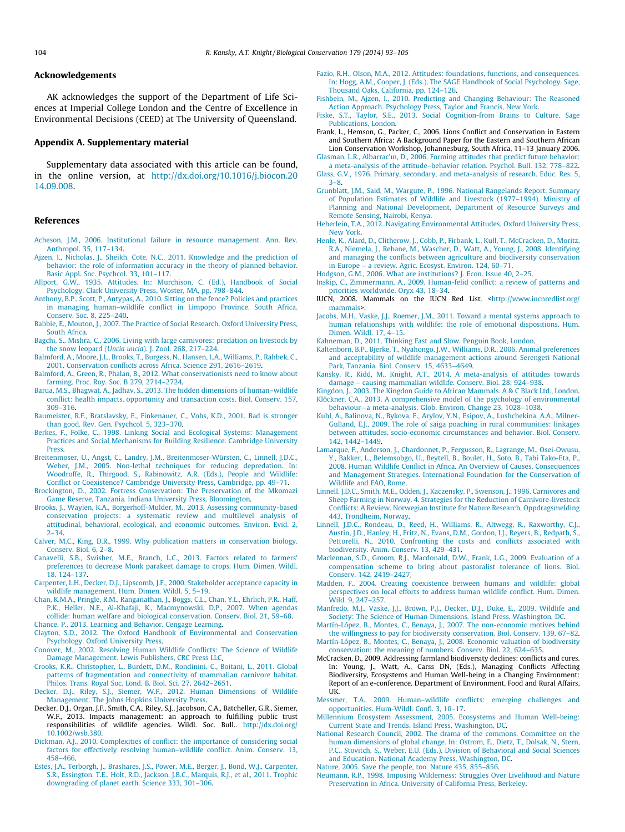# <span id="page-11-0"></span>Acknowledgements

AK acknowledges the support of the Department of Life Sciences at Imperial College London and the Centre of Excellence in Environmental Decisions (CEED) at The University of Queensland.

#### Appendix A. Supplementary material

Supplementary data associated with this article can be found, in the online version, at [http://dx.doi.org/10.1016/j.biocon.20](http://dx.doi.org/10.1016/j.biocon.2014.09.008) [14.09.008.](http://dx.doi.org/10.1016/j.biocon.2014.09.008)

#### References

- [Acheson, J.M., 2006. Institutional failure in resource management. Ann. Rev.](http://refhub.elsevier.com/S0006-3207(14)00325-5/h0005) [Anthropol. 35, 117–134.](http://refhub.elsevier.com/S0006-3207(14)00325-5/h0005)
- [Ajzen, I., Nicholas, J., Sheikh, Cote, N.C., 2011. Knowledge and the prediction of](http://refhub.elsevier.com/S0006-3207(14)00325-5/h0010) [behavior: the role of information accuracy in the theory of planned behavior.](http://refhub.elsevier.com/S0006-3207(14)00325-5/h0010)
- [Basic Appl. Soc. Psychcol. 33, 101–117.](http://refhub.elsevier.com/S0006-3207(14)00325-5/h0010) [Allport, G.W., 1935. Attitudes. In: Murchison, C. \(Ed.\), Handbook of Social](http://refhub.elsevier.com/S0006-3207(14)00325-5/h0015) [Psychology. Clark University Press, Woster, MA, pp. 798–844](http://refhub.elsevier.com/S0006-3207(14)00325-5/h0015).
- [Anthony, B.P., Scott, P., Antypas, A., 2010. Sitting on the fence? Policies and practices](http://refhub.elsevier.com/S0006-3207(14)00325-5/h0020) [in managing human–wildlife conflict in Limpopo Province, South Africa.](http://refhub.elsevier.com/S0006-3207(14)00325-5/h0020) [Conserv. Soc. 8, 225–240.](http://refhub.elsevier.com/S0006-3207(14)00325-5/h0020)
- [Babbie, E., Mouton, J., 2007. The Practice of Social Research. Oxford University Press,](http://refhub.elsevier.com/S0006-3207(14)00325-5/h0025) [South Africa.](http://refhub.elsevier.com/S0006-3207(14)00325-5/h0025)
- [Bagchi, S., Mishra, C., 2006. Living with large carnivores: predation on livestock by](http://refhub.elsevier.com/S0006-3207(14)00325-5/h0030) the snow leopard (Uncia uncia[\). J. Zool. 268, 217–224](http://refhub.elsevier.com/S0006-3207(14)00325-5/h0030).
- [Balmford, A., Moore, J.L., Brooks, T., Burgess, N., Hansen, L.A., Williams, P., Rahbek, C.,](http://refhub.elsevier.com/S0006-3207(14)00325-5/h0035) [2001. Conservation conflicts across Africa. Science 291, 2616–2619.](http://refhub.elsevier.com/S0006-3207(14)00325-5/h0035)
- [Balmford, A., Green, R., Phalan, B., 2012. What conservationists need to know about](http://refhub.elsevier.com/S0006-3207(14)00325-5/h0040) [farming. Proc. Roy. Soc. B 279, 2714–2724](http://refhub.elsevier.com/S0006-3207(14)00325-5/h0040).
- [Barua, M.S., Bhagwat, A., Jadhav, S., 2013. The hidden dimensions of human–wildlife](http://refhub.elsevier.com/S0006-3207(14)00325-5/h0045) [conflict: health impacts, opportunity and transaction costs. Biol. Conserv. 157,](http://refhub.elsevier.com/S0006-3207(14)00325-5/h0045) [309–316](http://refhub.elsevier.com/S0006-3207(14)00325-5/h0045).
- [Baumeister, R.F., Bratslavsky, E., Finkenauer, C., Vohs, K.D., 2001. Bad is stronger](http://refhub.elsevier.com/S0006-3207(14)00325-5/h0050) [than good. Rev. Gen. Psychcol. 5, 323–370](http://refhub.elsevier.com/S0006-3207(14)00325-5/h0050).
- [Berkes, F., Folke, C., 1998. Linking Social and Ecological Systems: Management](http://refhub.elsevier.com/S0006-3207(14)00325-5/h0055) [Practices and Social Mechanisms for Building Resilience. Cambridge University](http://refhub.elsevier.com/S0006-3207(14)00325-5/h0055) [Press](http://refhub.elsevier.com/S0006-3207(14)00325-5/h0055).
- [Breitenmoser, U., Angst, C., Landry, J.M., Breitenmoser-Würsten, C., Linnell, J.D.C.,](http://refhub.elsevier.com/S0006-3207(14)00325-5/h0060) [Weber, J.M., 2005. Non-lethal techniques for reducing depredation. In:](http://refhub.elsevier.com/S0006-3207(14)00325-5/h0060) [Woodroffe, R., Thirgood, S., Rabinowitz, A.R. \(Eds.\), People and Wildlife:](http://refhub.elsevier.com/S0006-3207(14)00325-5/h0060) [Conflict or Coexistence? Cambridge University Press, Cambridge, pp. 49–71](http://refhub.elsevier.com/S0006-3207(14)00325-5/h0060).
- [Brockington, D., 2002. Fortress Conservation: The Preservation of the Mkomazi](http://refhub.elsevier.com/S0006-3207(14)00325-5/h0065) [Game Reserve, Tanzania. Indiana University Press, Bloomington](http://refhub.elsevier.com/S0006-3207(14)00325-5/h0065).
- [Brooks, J., Waylen, K.A., Borgerhoff-Mulder, M., 2013. Assessing community-based](http://refhub.elsevier.com/S0006-3207(14)00325-5/h0070) [conservation projects: a systematic review and multilevel analysis of](http://refhub.elsevier.com/S0006-3207(14)00325-5/h0070) [attitudinal, behavioral, ecological, and economic outcomes. Environ. Evid. 2,](http://refhub.elsevier.com/S0006-3207(14)00325-5/h0070) [2–34.](http://refhub.elsevier.com/S0006-3207(14)00325-5/h0070)
- [Calver, M.C., King, D.R., 1999. Why publication matters in conservation biology.](http://refhub.elsevier.com/S0006-3207(14)00325-5/h0075) [Conserv. Biol. 6, 2–8.](http://refhub.elsevier.com/S0006-3207(14)00325-5/h0075)
- [Canavelli, S.B., Swisher, M.E., Branch, L.C., 2013. Factors related to farmers'](http://refhub.elsevier.com/S0006-3207(14)00325-5/h0080) [preferences to decrease Monk parakeet damage to crops. Hum. Dimen. Wildl.](http://refhub.elsevier.com/S0006-3207(14)00325-5/h0080) [18, 124–137.](http://refhub.elsevier.com/S0006-3207(14)00325-5/h0080)
- [Carpenter, L.H., Decker, D.J., Lipscomb, J.F., 2000. Stakeholder acceptance capacity in](http://refhub.elsevier.com/S0006-3207(14)00325-5/h0085) [wildlife management. Hum. Dimen. Wildl. 5, 5–19.](http://refhub.elsevier.com/S0006-3207(14)00325-5/h0085)
- [Chan, K.M.A., Pringle, R.M., Ranganathan, J., Boggs, C.L., Chan, Y.L., Ehrlich, P.R., Haff,](http://refhub.elsevier.com/S0006-3207(14)00325-5/h0090) [P.K., Heller, N.E., Al-Khafaji, K., Macmynowski, D.P., 2007. When agendas](http://refhub.elsevier.com/S0006-3207(14)00325-5/h0090) [collide: human welfare and biological conservation. Conserv. Biol. 21, 59–68.](http://refhub.elsevier.com/S0006-3207(14)00325-5/h0090) [Chance, P., 2013. Learning and Behavior. Cengage Learning](http://refhub.elsevier.com/S0006-3207(14)00325-5/h0095).
- [Clayton, S.D., 2012. The Oxford Handbook of Environmental and Conservation](http://refhub.elsevier.com/S0006-3207(14)00325-5/h0100)
- [Psychology. Oxford University Press.](http://refhub.elsevier.com/S0006-3207(14)00325-5/h0100) [Conover, M., 2002. Resolving Human Wildlife Conflicts: The Science of Wildlife](http://refhub.elsevier.com/S0006-3207(14)00325-5/h0105) [Damage Management. Lewis Publishers, CRC Press LLC](http://refhub.elsevier.com/S0006-3207(14)00325-5/h0105).
- [Crooks, K.R., Christopher, L., Burdett, D.M., Rondinini, C., Boitani, L., 2011. Global](http://refhub.elsevier.com/S0006-3207(14)00325-5/h0110) [patterns of fragmentation and connectivity of mammalian carnivore habitat.](http://refhub.elsevier.com/S0006-3207(14)00325-5/h0110)
- [Philos. Trans. Royal Soc. Lond. B. Biol. Sci. 27, 2642–2651.](http://refhub.elsevier.com/S0006-3207(14)00325-5/h0110) [Decker, D.J., Riley, S.J., Siemer, W.F., 2012. Human Dimensions of Wildlife](http://refhub.elsevier.com/S0006-3207(14)00325-5/h0115) [Management. The Johns Hopkins University Press.](http://refhub.elsevier.com/S0006-3207(14)00325-5/h0115)
- Decker, D.J., Organ, J.F., Smith, C.A., Riley, S.J., Jacobson, C.A., Batcheller, G.R., Siemer, W.F., 2013. Impacts management: an approach to fulfilling public trust responsibilities of wildlife agencies. Wildl. Soc. Bull.. [http://dx.doi.org/](http://dx.doi.org/10.1002/wsb.380) [10.1002/wsb.380.](http://dx.doi.org/10.1002/wsb.380)
- [Dickman, A.J., 2010. Complexities of conflict: the importance of considering social](http://refhub.elsevier.com/S0006-3207(14)00325-5/h0125) [factors for effectively resolving human–wildlife conflict. Anim. Conserv. 13,](http://refhub.elsevier.com/S0006-3207(14)00325-5/h0125) [458–466](http://refhub.elsevier.com/S0006-3207(14)00325-5/h0125).
- [Estes, J.A., Terborgh, J., Brashares, J.S., Power, M.E., Berger, J., Bond, W.J., Carpenter,](http://refhub.elsevier.com/S0006-3207(14)00325-5/h0130) [S.R., Essington, T.E., Holt, R.D., Jackson, J.B.C., Marquis, R.J., et al., 2011. Trophic](http://refhub.elsevier.com/S0006-3207(14)00325-5/h0130) [downgrading of planet earth. Science 333, 301–306.](http://refhub.elsevier.com/S0006-3207(14)00325-5/h0130)
- [Fazio, R.H., Olson, M.A., 2012. Attitudes: foundations, functions, and consequences.](http://refhub.elsevier.com/S0006-3207(14)00325-5/h0135) [In: Hogg, A.M., Cooper, J. \(Eds.\), The SAGE Handbook of Social Psychology. Sage,](http://refhub.elsevier.com/S0006-3207(14)00325-5/h0135) [Thousand Oaks, California, pp. 124–126](http://refhub.elsevier.com/S0006-3207(14)00325-5/h0135).
- [Fishbein, M., Ajzen, I., 2010. Predicting and Changing Behaviour: The Reasoned](http://refhub.elsevier.com/S0006-3207(14)00325-5/h0140) [Action Approach. Psychology Press, Taylor and Francis, New York.](http://refhub.elsevier.com/S0006-3207(14)00325-5/h0140)
- [Fiske, S.T., Taylor, S.E., 2013. Social Cognition-from Brains to Culture. Sage](http://refhub.elsevier.com/S0006-3207(14)00325-5/h0145) [Publications, London.](http://refhub.elsevier.com/S0006-3207(14)00325-5/h0145)
- Frank, L., Hemson, G., Packer, C., 2006. Lions Conflict and Conservation in Eastern and Southern Africa: A Background Paper for the Eastern and Southern African Lion Conservation Workshop, Johannesburg, South Africa, 11–13 January 2006.
- [Glasman, L.R., Albarrac'ın, D., 2006. Forming attitudes that predict future behavior:](http://refhub.elsevier.com/S0006-3207(14)00325-5/h0155) [a meta-analysis of the attitude–behavior relation. Psychol. Bull. 132, 778–822](http://refhub.elsevier.com/S0006-3207(14)00325-5/h0155).
- [Glass, G.V., 1976. Primary, secondary, and meta-analysis of research. Educ. Res. 5,](http://refhub.elsevier.com/S0006-3207(14)00325-5/h0160) [3–8](http://refhub.elsevier.com/S0006-3207(14)00325-5/h0160).
- [Grunblatt, J.M., Said, M., Wargute, P., 1996. National Rangelands Report. Summary](http://refhub.elsevier.com/S0006-3207(14)00325-5/h0165) [of Population Estimates of Wildlife and Livestock \(1977–1994\). Ministry of](http://refhub.elsevier.com/S0006-3207(14)00325-5/h0165) [Planning and National Development, Department of Resource Surveys and](http://refhub.elsevier.com/S0006-3207(14)00325-5/h0165) [Remote Sensing, Nairobi, Kenya](http://refhub.elsevier.com/S0006-3207(14)00325-5/h0165).
- [Heberlein, T.A., 2012. Navigating Environmental Attitudes. Oxford University Press,](http://refhub.elsevier.com/S0006-3207(14)00325-5/h0170) [New York.](http://refhub.elsevier.com/S0006-3207(14)00325-5/h0170)
- [Henle, K., Alard, D., Clitherow, J., Cobb, P., Firbank, L., Kull, T., McCracken, D., Moritz,](http://refhub.elsevier.com/S0006-3207(14)00325-5/h0175) [R.A., Niemela, J., Rebane, M., Wascher, D., Watt, A., Young, J., 2008. Identifying](http://refhub.elsevier.com/S0006-3207(14)00325-5/h0175) [and managing the conflicts between agriculture and biodiversity conservation](http://refhub.elsevier.com/S0006-3207(14)00325-5/h0175) [in Europe – a review. Agric. Ecosyst. Environ. 124, 60–71.](http://refhub.elsevier.com/S0006-3207(14)00325-5/h0175)
- Hodgson, G.M., 2006. What are institutions? J. Econ. Issue 40, 2-25.
- [Inskip, C., Zimmermann, A., 2009. Human-felid conflict: a review of patterns and](http://refhub.elsevier.com/S0006-3207(14)00325-5/h0185) [priorities worldwide. Oryx 43, 18–34.](http://refhub.elsevier.com/S0006-3207(14)00325-5/h0185)
- IUCN, 2008. Mammals on the IUCN Red List. <[http://www.iucnredlist.org/](http://www.iucnredlist.org/mammals) [mammals>](http://www.iucnredlist.org/mammals).
- [Jacobs, M.H., Vaske, J.J., Roemer, J.M., 2011. Toward a mental systems approach to](http://refhub.elsevier.com/S0006-3207(14)00325-5/h0195) [human relationships with wildlife: the role of emotional dispositions. Hum.](http://refhub.elsevier.com/S0006-3207(14)00325-5/h0195) [Dimen. Wildl. 17, 4–15](http://refhub.elsevier.com/S0006-3207(14)00325-5/h0195).
- [Kahneman, D., 2011. Thinking Fast and Slow. Penguin Book, London.](http://refhub.elsevier.com/S0006-3207(14)00325-5/h0200)
- [Kaltenborn, B.P., Bjerke, T., Nyahongo, J.W., Williams, D.R., 2006. Animal preferences](http://refhub.elsevier.com/S0006-3207(14)00325-5/h0205) [and acceptability of wildlife management actions around Serengeti National](http://refhub.elsevier.com/S0006-3207(14)00325-5/h0205) [Park, Tanzania. Biol. Conserv. 15, 4633–4649](http://refhub.elsevier.com/S0006-3207(14)00325-5/h0205).
- [Kansky, R., Kidd, M., Knight, A.T., 2014. A meta-analysis of attitudes towards](http://refhub.elsevier.com/S0006-3207(14)00325-5/h0210) [damage – causing mammalian wildlife. Conserv. Biol. 28, 924–938.](http://refhub.elsevier.com/S0006-3207(14)00325-5/h0210)
- [Kingdon, J., 2003. The Kingdon Guide to African Mammals. A & C Black Ltd., London](http://refhub.elsevier.com/S0006-3207(14)00325-5/h0215). [Klöckner, C.A., 2013. A comprehensive model of the psychology of environmental](http://refhub.elsevier.com/S0006-3207(14)00325-5/h0220) [behaviour—a meta-analysis. Glob. Environ. Change 23, 1028–1038.](http://refhub.elsevier.com/S0006-3207(14)00325-5/h0220)
- [Kuhl, A., Balinova, N., Bykova, E., Arylov, Y.N., Esipov, A., Lushchekina, A.A., Milner-](http://refhub.elsevier.com/S0006-3207(14)00325-5/h0225)[Gulland, E.J., 2009. The role of saiga poaching in rural communities: linkages](http://refhub.elsevier.com/S0006-3207(14)00325-5/h0225) [between attitudes, socio-economic circumstances and behavior. Biol. Conserv.](http://refhub.elsevier.com/S0006-3207(14)00325-5/h0225) [142, 1442–1449](http://refhub.elsevier.com/S0006-3207(14)00325-5/h0225).
- [Lamarque, F., Anderson, J., Chardonnet, P., Fergusson, R., Lagrange, M., Osei-Owusu,](http://refhub.elsevier.com/S0006-3207(14)00325-5/h0230) [Y., Bakker, L., Belemsobgo, U., Beytell, B., Boulet, H., Soto, B., Tabi Tako-Eta, P.,](http://refhub.elsevier.com/S0006-3207(14)00325-5/h0230) [2008. Human Wildlife Conflict in Africa. An Overview of Causes, Consequences](http://refhub.elsevier.com/S0006-3207(14)00325-5/h0230) [and Management Strategies. International Foundation for the Conservation of](http://refhub.elsevier.com/S0006-3207(14)00325-5/h0230) [Wildlife and FAO, Rome](http://refhub.elsevier.com/S0006-3207(14)00325-5/h0230).
- [Linnell, J.D.C., Smith, M.E., Odden, J., Kaczensky, P., Swenson, J., 1996. Carnivores and](http://refhub.elsevier.com/S0006-3207(14)00325-5/h0235) [Sheep Farming in Norway. 4. Strategies for the Reduction of Carnivore-livestock](http://refhub.elsevier.com/S0006-3207(14)00325-5/h0235) [Conflicts: A Review. Norwegian Institute for Nature Research, Oppdragsmelding](http://refhub.elsevier.com/S0006-3207(14)00325-5/h0235) [443, Trondheim, Norway](http://refhub.elsevier.com/S0006-3207(14)00325-5/h0235).
- [Linnell, J.D.C., Rondeau, D., Reed, H., Williams, R., Altwegg, R., Raxworthy, C.J.,](http://refhub.elsevier.com/S0006-3207(14)00325-5/h0240) [Austin, J.D., Hanley, H., Fritz, N., Evans, D.M., Gordon, I.J., Reyers, B., Redpath, S.,](http://refhub.elsevier.com/S0006-3207(14)00325-5/h0240) [Pettorelli, N., 2010. Confronting the costs and conflicts associated with](http://refhub.elsevier.com/S0006-3207(14)00325-5/h0240) [biodiversity. Anim. Conserv. 13, 429–431](http://refhub.elsevier.com/S0006-3207(14)00325-5/h0240).
- [Maclennan, S.D., Groom, R.J., Macdonald, D.W., Frank, L.G., 2009. Evaluation of a](http://refhub.elsevier.com/S0006-3207(14)00325-5/h0245) [compensation scheme to bring about pastoralist tolerance of lions. Biol.](http://refhub.elsevier.com/S0006-3207(14)00325-5/h0245) [Conserv. 142, 2419–2427.](http://refhub.elsevier.com/S0006-3207(14)00325-5/h0245)
- [Madden, F., 2004. Creating coexistence between humans and wildlife: global](http://refhub.elsevier.com/S0006-3207(14)00325-5/h0250) [perspectives on local efforts to address human wildlife conflict. Hum. Dimen.](http://refhub.elsevier.com/S0006-3207(14)00325-5/h0250) [Wild. 9, 247–257](http://refhub.elsevier.com/S0006-3207(14)00325-5/h0250).
- [Manfredo, M.J., Vaske, J.J., Brown, P.J., Decker, D.J., Duke, E., 2009. Wildlife and](http://refhub.elsevier.com/S0006-3207(14)00325-5/h0255) [Society: The Science of Human Dimensions. Island Press, Washington, DC.](http://refhub.elsevier.com/S0006-3207(14)00325-5/h0255)
- [Martín-López, B., Montes, C., Benaya, J., 2007. The non-economic motives behind](http://refhub.elsevier.com/S0006-3207(14)00325-5/h0260) [the willingness to pay for biodiversity conservation. Biol. Conserv. 139, 67–82](http://refhub.elsevier.com/S0006-3207(14)00325-5/h0260). [Martín-López, B., Montes, C., Benaya, J., 2008. Economic valuation of biodiversity](http://refhub.elsevier.com/S0006-3207(14)00325-5/h0265)
- [conservation: the meaning of numbers. Conserv. Biol. 22, 624–635.](http://refhub.elsevier.com/S0006-3207(14)00325-5/h0265) McCracken, D., 2009. Addressing farmland biodiversity declines: conflicts and cures. In: Young, J., Watt, A., Carss DN, (Eds.), Managing Conflicts Affecting Biodiversity, Ecosystems and Human Well-being in a Changing Environment: Report of an e-conference. Department of Environment, Food and Rural Affairs, UK.
- [Messmer, T.A., 2009. Human–wildlife conflicts: emerging challenges and](http://refhub.elsevier.com/S0006-3207(14)00325-5/h0275) [opportunities. Hum-Wildl. Confl. 3, 10–17.](http://refhub.elsevier.com/S0006-3207(14)00325-5/h0275)
- [Millennium Ecosystem Assessment, 2005. Ecosystems and Human Well-being:](http://refhub.elsevier.com/S0006-3207(14)00325-5/h0280) [Current State and Trends. Island Press, Washington, DC](http://refhub.elsevier.com/S0006-3207(14)00325-5/h0280).
- [National Research Council, 2002. The drama of the commons. Committee on the](http://refhub.elsevier.com/S0006-3207(14)00325-5/h0285) [human dimensions of global change. In: Ostrom, E., Dietz, T., Dolsak, N., Stern,](http://refhub.elsevier.com/S0006-3207(14)00325-5/h0285) [P.C., Stovitch, S., Weber, E.U. \(Eds.\), Division of Behavioral and Social Sciences](http://refhub.elsevier.com/S0006-3207(14)00325-5/h0285) [and Education. National Academy Press, Washington, DC.](http://refhub.elsevier.com/S0006-3207(14)00325-5/h0285)
- [Nature, 2005. Save the people, too. Nature 435, 855–856.](http://refhub.elsevier.com/S0006-3207(14)00325-5/h0290)
- [Neumann, R.P., 1998. Imposing Wilderness: Struggles Over Livelihood and Nature](http://refhub.elsevier.com/S0006-3207(14)00325-5/h0295) [Preservation in Africa. University of California Press, Berkeley.](http://refhub.elsevier.com/S0006-3207(14)00325-5/h0295)